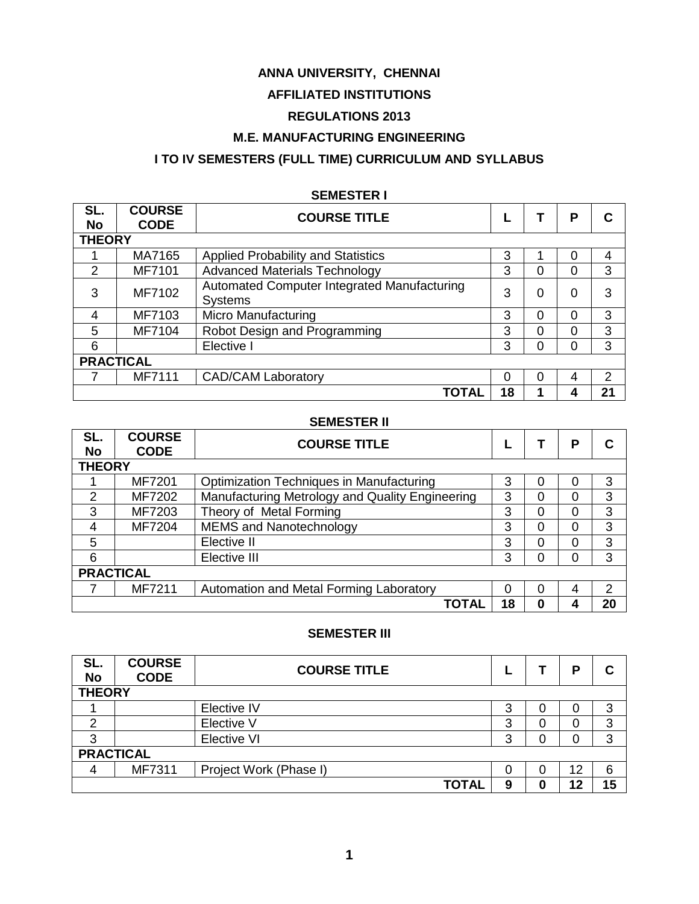# **ANNA UNIVERSITY, CHENNAI**

# **AFFILIATED INSTITUTIONS**

# **REGULATIONS 2013**

# **M.E. MANUFACTURING ENGINEERING**

# **I TO IV SEMESTERS (FULL TIME) CURRICULUM AND SYLLABUS**

| SL.           | <b>COURSE</b>    | <b>COURSE TITLE</b>                         |    |   | P        |               |  |
|---------------|------------------|---------------------------------------------|----|---|----------|---------------|--|
| <b>No</b>     | <b>CODE</b>      |                                             |    |   |          |               |  |
|               | <b>THEORY</b>    |                                             |    |   |          |               |  |
|               | MA7165           | <b>Applied Probability and Statistics</b>   | 3  |   | $\Omega$ | 4             |  |
| $\mathcal{P}$ | MF7101           | <b>Advanced Materials Technology</b>        | 3  | 0 | 0        | 3             |  |
| 3             | MF7102           | Automated Computer Integrated Manufacturing | 3  | 0 | 0        | 3             |  |
|               |                  | <b>Systems</b>                              |    |   |          |               |  |
| 4             | MF7103           | Micro Manufacturing                         | 3  | 0 | $\Omega$ | 3             |  |
| 5             | MF7104           | Robot Design and Programming                | 3  | 0 | $\Omega$ | 3             |  |
| 6             |                  | Elective I                                  | 3  | O | $\Omega$ | 3             |  |
|               | <b>PRACTICAL</b> |                                             |    |   |          |               |  |
|               | MF7111           | <b>CAD/CAM Laboratory</b>                   |    | 0 | 4        | $\mathcal{P}$ |  |
|               |                  | <b>TOTAL</b>                                | 18 |   | 4        | 21            |  |

#### **SEMESTER I**

### **SEMESTER II**

| SL.<br><b>No</b> | <b>COURSE</b><br><b>CODE</b> | <b>COURSE TITLE</b>                             |    |  | Ρ        |    |  |
|------------------|------------------------------|-------------------------------------------------|----|--|----------|----|--|
|                  | <b>THEORY</b>                |                                                 |    |  |          |    |  |
|                  | MF7201                       | <b>Optimization Techniques in Manufacturing</b> | 3  |  | 0        | 3  |  |
| 2                | MF7202                       | Manufacturing Metrology and Quality Engineering | 3  |  | $\Omega$ | 3  |  |
| 3                | MF7203                       | Theory of Metal Forming                         | 3  |  | $\Omega$ | 3  |  |
| 4                | MF7204                       | <b>MEMS and Nanotechnology</b>                  | 3  |  | $\Omega$ | 3  |  |
| 5                |                              | Elective II                                     | 3  |  | 0        | 3  |  |
| 6                |                              | Elective III                                    | 3  |  | 0        | 3  |  |
| <b>PRACTICAL</b> |                              |                                                 |    |  |          |    |  |
|                  | MF7211                       | Automation and Metal Forming Laboratory         | 0  |  | 4        | 2  |  |
|                  |                              | TOTAL                                           | 18 |  |          | 20 |  |

### **SEMESTER III**

| SL.<br><b>No</b> | <b>COURSE</b><br><b>CODE</b> | <b>COURSE TITLE</b>    |   |  | P  |    |
|------------------|------------------------------|------------------------|---|--|----|----|
| <b>THEORY</b>    |                              |                        |   |  |    |    |
|                  |                              | Elective IV            | 3 |  | O  | 3  |
| ⌒                |                              | Elective V             | 3 |  | 0  | 3  |
| ≏                |                              | Elective VI            | າ |  |    | 3  |
|                  | <b>PRACTICAL</b>             |                        |   |  |    |    |
| 4                | MF7311                       | Project Work (Phase I) |   |  | 12 | 6  |
|                  |                              | <b>TOTAL</b>           | 9 |  | 12 | 15 |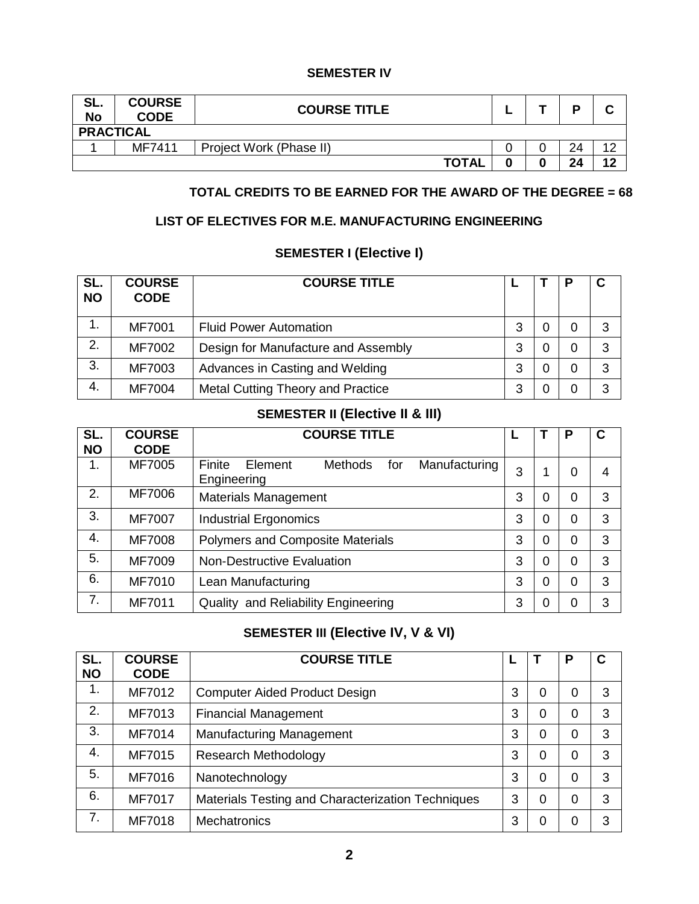### **SEMESTER IV**

| SL.<br><b>No</b> | <b>COURSE</b><br><b>CODE</b> | <b>COURSE TITLE</b>     |  |    |                    |
|------------------|------------------------------|-------------------------|--|----|--------------------|
| <b>PRACTICAL</b> |                              |                         |  |    |                    |
|                  | MF7411                       | Project Work (Phase II) |  | 24 | $\Lambda$ $\Omega$ |
|                  |                              | <b>TOTAL</b>            |  | 24 | 12                 |

## **TOTAL CREDITS TO BE EARNED FOR THE AWARD OF THE DEGREE = 68**

# **LIST OF ELECTIVES FOR M.E. MANUFACTURING ENGINEERING**

# **SEMESTER I (Elective I)**

| SL.<br><b>NO</b> | <b>COURSE</b><br><b>CODE</b> | <b>COURSE TITLE</b>                      |   |   | C |
|------------------|------------------------------|------------------------------------------|---|---|---|
| 1.               | <b>MF7001</b>                | <b>Fluid Power Automation</b>            | 3 | 0 | 3 |
| 2.               | MF7002                       | Design for Manufacture and Assembly      | 3 | 0 | 3 |
| 3.               | MF7003                       | Advances in Casting and Welding          | 3 | 0 | 3 |
| 4.               | <b>MF7004</b>                | <b>Metal Cutting Theory and Practice</b> | 3 | 0 | 3 |

# **SEMESTER II (Elective II & III)**

| SL.<br><b>NO</b> | <b>COURSE</b><br><b>CODE</b> | <b>COURSE TITLE</b>                                                        |   |   | P | C |
|------------------|------------------------------|----------------------------------------------------------------------------|---|---|---|---|
| 1.               | MF7005                       | Finite<br>Element<br><b>Methods</b><br>Manufacturing<br>for<br>Engineering | 3 |   | 0 | 4 |
| 2.               | MF7006                       | <b>Materials Management</b>                                                | 3 | 0 | 0 | 3 |
| 3.               | MF7007                       | <b>Industrial Ergonomics</b>                                               | 3 | 0 | 0 | 3 |
| 4.               | <b>MF7008</b>                | Polymers and Composite Materials                                           | 3 | 0 | 0 | 3 |
| 5.               | MF7009                       | <b>Non-Destructive Evaluation</b>                                          | 3 | 0 | 0 | 3 |
| 6.               | MF7010                       | Lean Manufacturing                                                         | 3 | 0 | 0 | 3 |
| 7.               | MF7011                       | <b>Quality and Reliability Engineering</b>                                 | 3 | 0 | 0 | 3 |

# **SEMESTER III (Elective IV, V & VI)**

| SL.<br><b>NO</b> | <b>COURSE</b><br><b>CODE</b> | <b>COURSE TITLE</b>                               | ь |   | Ρ | C |
|------------------|------------------------------|---------------------------------------------------|---|---|---|---|
| 1.               | MF7012                       | <b>Computer Aided Product Design</b>              | 3 | 0 | 0 | 3 |
| 2.               | MF7013                       | <b>Financial Management</b>                       | 3 | 0 | 0 | 3 |
| 3.               | MF7014                       | <b>Manufacturing Management</b>                   | 3 | 0 | 0 | 3 |
| 4.               | MF7015                       | <b>Research Methodology</b>                       | 3 | 0 | 0 | 3 |
| 5.               | MF7016                       | Nanotechnology                                    | 3 | 0 | 0 | 3 |
| 6.               | <b>MF7017</b>                | Materials Testing and Characterization Techniques | 3 | 0 | 0 | 3 |
| 7.               | <b>MF7018</b>                | <b>Mechatronics</b>                               | 3 | 0 | 0 | З |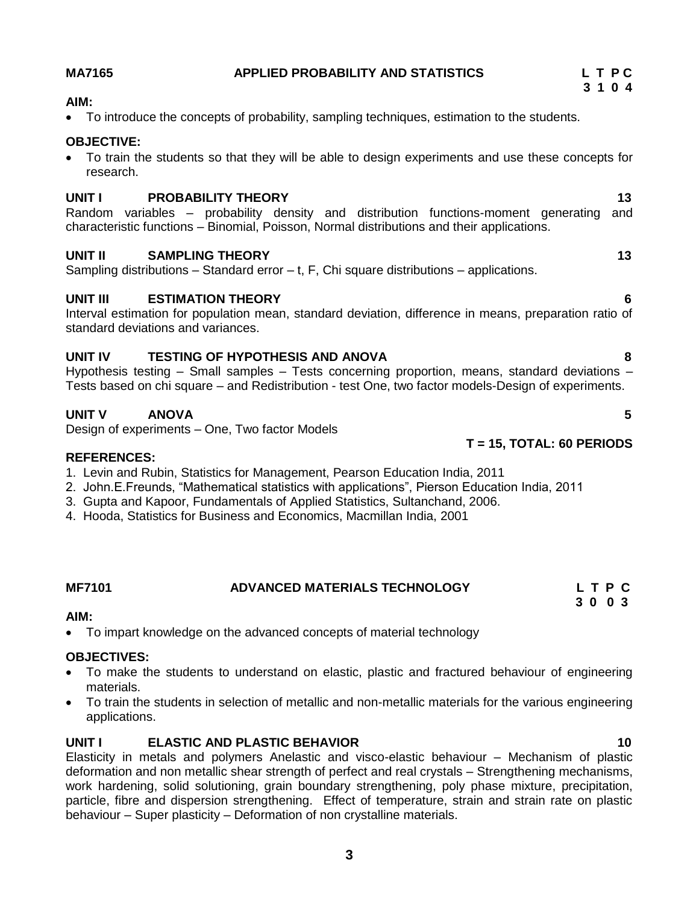#### **MA7165 APPLIED PROBABILITY AND STATISTICS L T P C**

#### **AIM:**

To introduce the concepts of probability, sampling techniques, estimation to the students.

### **OBJECTIVE:**

 To train the students so that they will be able to design experiments and use these concepts for research.

### **UNIT I PROBABILITY THEORY 13**

Random variables – probability density and distribution functions-moment generating and characteristic functions – Binomial, Poisson, Normal distributions and their applications.

### **UNIT II SAMPLING THEORY 13**

Sampling distributions – Standard error – t, F, Chi square distributions – applications.

### **UNIT III ESTIMATION THEORY 6**

Interval estimation for population mean, standard deviation, difference in means, preparation ratio of standard deviations and variances.

### **UNIT IV TESTING OF HYPOTHESIS AND ANOVA 8**

Hypothesis testing – Small samples – Tests concerning proportion, means, standard deviations – Tests based on chi square – and Redistribution - test One, two factor models-Design of experiments.

# **UNIT V ANOVA 5**

Design of experiments – One, Two factor Models

### **REFERENCES:**

- 1. Levin and Rubin, Statistics for Management, Pearson Education India, 2011
- 2. John. E. Freunds, "Mathematical statistics with applications", Pierson Education India, 2011
- 3. Gupta and Kapoor, Fundamentals of Applied Statistics, Sultanchand, 2006.
- 4. Hooda, Statistics for Business and Economics, Macmillan India, 2001

#### **MF7101 ADVANCED MATERIALS TECHNOLOGY L T P C 3 0 0 3**

#### **AIM:**

To impart knowledge on the advanced concepts of material technology

### **OBJECTIVES:**

- To make the students to understand on elastic, plastic and fractured behaviour of engineering materials.
- To train the students in selection of metallic and non-metallic materials for the various engineering applications.

### **UNIT I ELASTIC AND PLASTIC BEHAVIOR 10**

Elasticity in metals and polymers Anelastic and visco-elastic behaviour – Mechanism of plastic deformation and non metallic shear strength of perfect and real crystals – Strengthening mechanisms, work hardening, solid solutioning, grain boundary strengthening, poly phase mixture, precipitation, particle, fibre and dispersion strengthening. Effect of temperature, strain and strain rate on plastic behaviour – Super plasticity – Deformation of non crystalline materials.

# **T = 15, TOTAL: 60 PERIODS**

# **3 1 0 4**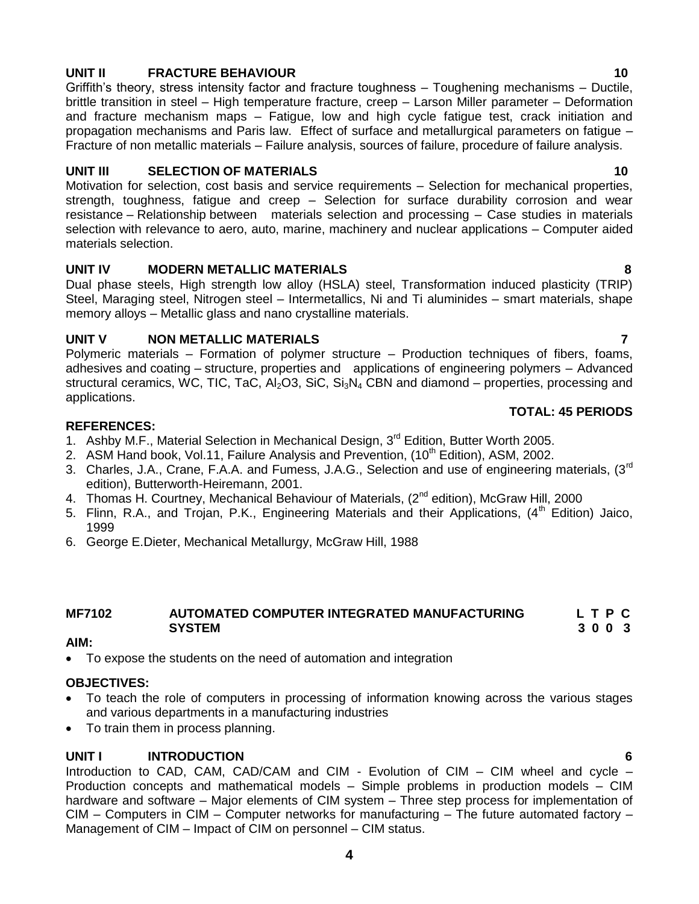# **UNIT II FRACTURE BEHAVIOUR 10**

Griffith's theory, stress intensity factor and fracture toughness – Toughening mechanisms – Ductile, brittle transition in steel – High temperature fracture, creep – Larson Miller parameter – Deformation and fracture mechanism maps – Fatigue, low and high cycle fatigue test, crack initiation and propagation mechanisms and Paris law. Effect of surface and metallurgical parameters on fatigue – Fracture of non metallic materials – Failure analysis, sources of failure, procedure of failure analysis.

### **UNIT III SELECTION OF MATERIALS 10**

Motivation for selection, cost basis and service requirements – Selection for mechanical properties, strength, toughness, fatigue and creep – Selection for surface durability corrosion and wear resistance – Relationship between materials selection and processing – Case studies in materials selection with relevance to aero, auto, marine, machinery and nuclear applications – Computer aided materials selection.

#### **UNIT IV MODERN METALLIC MATERIALS 8**

Dual phase steels, High strength low alloy (HSLA) steel, Transformation induced plasticity (TRIP) Steel, Maraging steel, Nitrogen steel – Intermetallics, Ni and Ti aluminides – smart materials, shape memory alloys – Metallic glass and nano crystalline materials.

#### **UNIT V NON METALLIC MATERIALS 7**

Polymeric materials – Formation of polymer structure – Production techniques of fibers, foams, adhesives and coating – structure, properties and applications of engineering polymers – Advanced structural ceramics, WC, TIC, TaC,  $Al_2O3$ , SiC,  $Si_3N_4$  CBN and diamond – properties, processing and applications.

#### **REFERENCES:**

- 1. Ashby M.F., Material Selection in Mechanical Design, 3<sup>rd</sup> Edition, Butter Worth 2005.
- 2. ASM Hand book, Vol.11, Failure Analysis and Prevention,  $(10<sup>th</sup> Edition)$ , ASM, 2002.
- 3. Charles, J.A., Crane, F.A.A. and Fumess, J.A.G., Selection and use of engineering materials, (3<sup>rd</sup> edition), Butterworth-Heiremann, 2001.
- 4. Thomas H. Courtney, Mechanical Behaviour of Materials, (2<sup>nd</sup> edition), McGraw Hill, 2000
- 5. Flinn, R.A., and Trojan, P.K., Engineering Materials and their Applications, (4<sup>th</sup> Edition) Jaico, 1999
- 6. George E.Dieter, Mechanical Metallurgy, McGraw Hill, 1988

#### **MF7102 AUTOMATED COMPUTER INTEGRATED MANUFACTURING L T P C SYSTEM 3 0 0 3**

#### **AIM:**

To expose the students on the need of automation and integration

# **OBJECTIVES:**

- To teach the role of computers in processing of information knowing across the various stages and various departments in a manufacturing industries
- To train them in process planning.

# **UNIT I INTRODUCTION 6**

Introduction to CAD, CAM, CAD/CAM and CIM - Evolution of CIM – CIM wheel and cycle – Production concepts and mathematical models – Simple problems in production models – CIM hardware and software – Major elements of CIM system – Three step process for implementation of CIM – Computers in CIM – Computer networks for manufacturing – The future automated factory – Management of CIM – Impact of CIM on personnel – CIM status.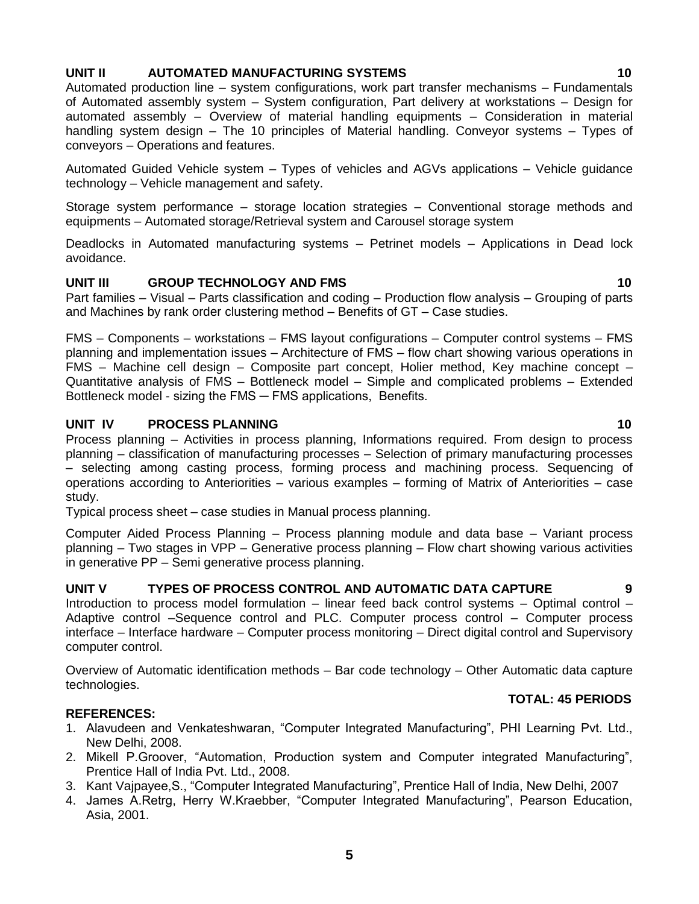### **UNIT II AUTOMATED MANUFACTURING SYSTEMS 10**

Automated production line – system configurations, work part transfer mechanisms – Fundamentals of Automated assembly system – System configuration, Part delivery at workstations – Design for automated assembly – Overview of material handling equipments – Consideration in material handling system design – The 10 principles of Material handling. Conveyor systems – Types of conveyors – Operations and features.

Automated Guided Vehicle system – Types of vehicles and AGVs applications – Vehicle guidance technology – Vehicle management and safety.

Storage system performance – storage location strategies – Conventional storage methods and equipments – Automated storage/Retrieval system and Carousel storage system

Deadlocks in Automated manufacturing systems – Petrinet models – Applications in Dead lock avoidance.

### **UNIT III** GROUP TECHNOLOGY AND FMS 10

Part families – Visual – Parts classification and coding – Production flow analysis – Grouping of parts and Machines by rank order clustering method – Benefits of GT – Case studies.

FMS – Components – workstations – FMS layout configurations – Computer control systems – FMS planning and implementation issues – Architecture of FMS – flow chart showing various operations in FMS – Machine cell design – Composite part concept, Holier method, Key machine concept – Quantitative analysis of FMS – Bottleneck model – Simple and complicated problems – Extended Bottleneck model - sizing the FMS - FMS applications, Benefits.

### **UNIT IV PROCESS PLANNING 10**

Process planning – Activities in process planning, Informations required. From design to process planning – classification of manufacturing processes – Selection of primary manufacturing processes – selecting among casting process, forming process and machining process. Sequencing of operations according to Anteriorities – various examples – forming of Matrix of Anteriorities – case study.

Typical process sheet – case studies in Manual process planning.

Computer Aided Process Planning – Process planning module and data base – Variant process planning – Two stages in VPP – Generative process planning – Flow chart showing various activities in generative PP – Semi generative process planning.

### **UNIT V TYPES OF PROCESS CONTROL AND AUTOMATIC DATA CAPTURE 9**

Introduction to process model formulation – linear feed back control systems – Optimal control – Adaptive control –Sequence control and PLC. Computer process control – Computer process interface – Interface hardware – Computer process monitoring – Direct digital control and Supervisory computer control.

Overview of Automatic identification methods – Bar code technology – Other Automatic data capture technologies.

#### **TOTAL: 45 PERIODS**

### **REFERENCES:**

- 1. Alavudeen and Venkateshwaran, "Computer Integrated Manufacturing", PHI Learning Pvt. Ltd., New Delhi, 2008.
- 2. Mikell P.Groover, "Automation, Production system and Computer integrated Manufacturing", Prentice Hall of India Pvt. Ltd., 2008.
- 3. Kant Vajpayee, S., "Computer Integrated Manufacturing", Prentice Hall of India, New Delhi, 2007
- 4. James A.Retrg, Herry W.Kraebber, "Computer Integrated Manufacturing", Pearson Education, Asia, 2001.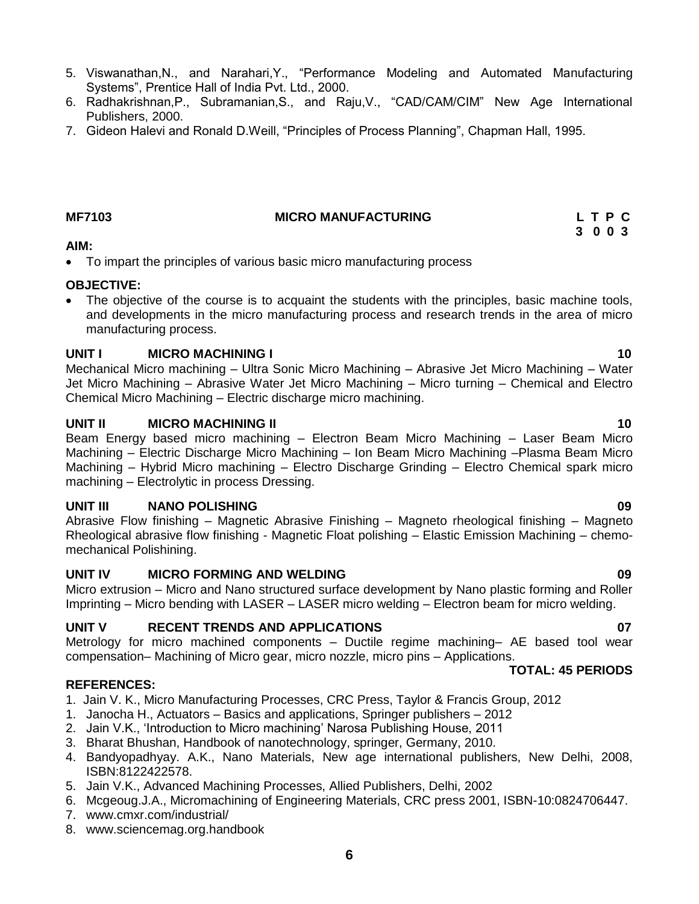- 5. Viswanathan, N., and Narahari, Y., "Performance Modeling and Automated Manufacturing Systems", Prentice Hall of India Pvt. Ltd., 2000.
- 6. Radhakrishnan, P., Subramanian, S., and Raju, V., "CAD/CAM/CIM" New Age International Publishers, 2000.
- 7. Gideon Halevi and Ronald D.Weill, "Principles of Process Planning", Chapman Hall, 1995.

#### **AIM:**

To impart the principles of various basic micro manufacturing process

### **OBJECTIVE:**

• The objective of the course is to acquaint the students with the principles, basic machine tools, and developments in the micro manufacturing process and research trends in the area of micro manufacturing process.

### **UNIT I MICRO MACHINING I 10**

Mechanical Micro machining – Ultra Sonic Micro Machining – Abrasive Jet Micro Machining – Water Jet Micro Machining – Abrasive Water Jet Micro Machining – Micro turning – Chemical and Electro Chemical Micro Machining – Electric discharge micro machining.

### **UNIT II** MICRO MACHINING II **10**

Beam Energy based micro machining – Electron Beam Micro Machining – Laser Beam Micro Machining – Electric Discharge Micro Machining – Ion Beam Micro Machining –Plasma Beam Micro Machining – Hybrid Micro machining – Electro Discharge Grinding – Electro Chemical spark micro machining – Electrolytic in process Dressing.

### **UNIT III NANO POLISHING 09**

Abrasive Flow finishing – Magnetic Abrasive Finishing – Magneto rheological finishing – Magneto Rheological abrasive flow finishing - Magnetic Float polishing – Elastic Emission Machining – chemomechanical Polishining.

# **UNIT IV MICRO FORMING AND WELDING 09**

Micro extrusion – Micro and Nano structured surface development by Nano plastic forming and Roller Imprinting – Micro bending with LASER – LASER micro welding – Electron beam for micro welding.

# **UNIT V RECENT TRENDS AND APPLICATIONS 07**

Metrology for micro machined components – Ductile regime machining– AE based tool wear compensation– Machining of Micro gear, micro nozzle, micro pins – Applications.

### **TOTAL: 45 PERIODS**

# **REFERENCES:**

- 1. Jain V. K., Micro Manufacturing Processes, CRC Press, Taylor & Francis Group, 2012
- 1. Janocha H., Actuators Basics and applications, Springer publishers 2012
- 2. Jain V.K., 'Introduction to Micro machining' Narosa Publishing House, 2011
- 3. Bharat Bhushan, Handbook of nanotechnology, springer, Germany, 2010.
- 4. Bandyopadhyay. A.K., Nano Materials, New age international publishers, New Delhi, 2008, ISBN:8122422578.
- 5. Jain V.K., Advanced Machining Processes, Allied Publishers, Delhi, 2002
- 6. Mcgeoug.J.A., Micromachining of Engineering Materials, CRC press 2001, ISBN-10:0824706447.
- 7. [www.cmxr.com/industrial/](http://www.cmxr.com/industrial/)
- 8. [www.sciencemag.org.handbook](http://www.sciencemag.org.handbook/)

#### **MF7103 MICRO MANUFACTURING L T P C**

 **3 0 0 3**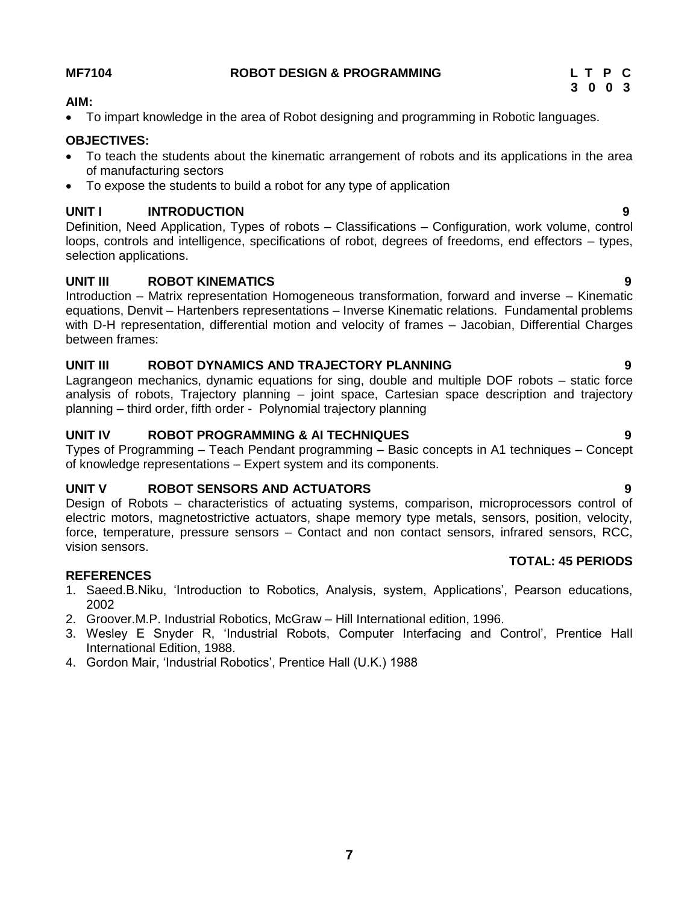## **MF7104 ROBOT DESIGN & PROGRAMMING L T P C**

# **3 0 0 3**

**TOTAL: 45 PERIODS** 

## **AIM:**

To impart knowledge in the area of Robot designing and programming in Robotic languages.

# **OBJECTIVES:**

- To teach the students about the kinematic arrangement of robots and its applications in the area of manufacturing sectors
- To expose the students to build a robot for any type of application

# **UNIT I INTRODUCTION 9**

Definition, Need Application, Types of robots – Classifications – Configuration, work volume, control loops, controls and intelligence, specifications of robot, degrees of freedoms, end effectors – types, selection applications.

# **UNIT III ROBOT KINEMATICS 9**

Introduction – Matrix representation Homogeneous transformation, forward and inverse – Kinematic equations, Denvit – Hartenbers representations – Inverse Kinematic relations. Fundamental problems with D-H representation, differential motion and velocity of frames – Jacobian, Differential Charges between frames:

# **UNIT III ROBOT DYNAMICS AND TRAJECTORY PLANNING 9**

Lagrangeon mechanics, dynamic equations for sing, double and multiple DOF robots – static force analysis of robots, Trajectory planning – joint space, Cartesian space description and trajectory planning – third order, fifth order - Polynomial trajectory planning

# **UNIT IV ROBOT PROGRAMMING & AI TECHNIQUES 9**

Types of Programming – Teach Pendant programming – Basic concepts in A1 techniques – Concept of knowledge representations – Expert system and its components.

# **UNIT V ROBOT SENSORS AND ACTUATORS 9**

Design of Robots – characteristics of actuating systems, comparison, microprocessors control of electric motors, magnetostrictive actuators, shape memory type metals, sensors, position, velocity, force, temperature, pressure sensors – Contact and non contact sensors, infrared sensors, RCC, vision sensors.

# **REFERENCES**

- 1. Saeed.B.Niku, 'Introduction to Robotics, Analysis, system, Applications', Pearson educations, 2002
- 2. Groover.M.P. Industrial Robotics, McGraw Hill International edition, 1996.
- 3. Wesley E Snyder R, 'Industrial Robots, Computer Interfacing and Control', Prentice Hall International Edition, 1988.
- 4. Gordon Mair, 'Industrial Robotics', Prentice Hall (U.K.) 1988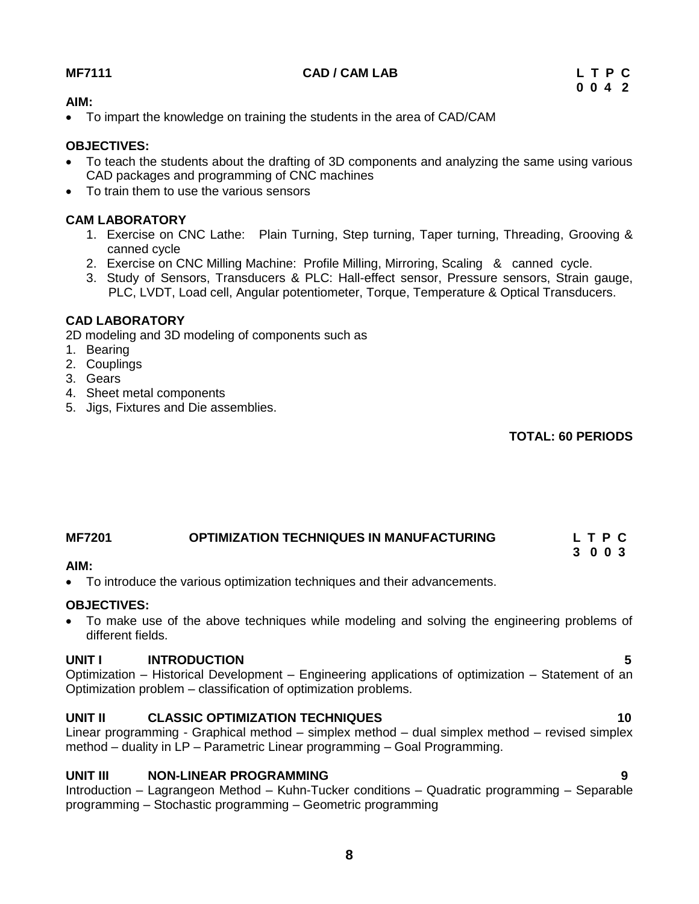## **MF7111 CAD / CAM LAB L T P C**

### **AIM:**

To impart the knowledge on training the students in the area of CAD/CAM

### **OBJECTIVES:**

- To teach the students about the drafting of 3D components and analyzing the same using various CAD packages and programming of CNC machines
- To train them to use the various sensors

# **CAM LABORATORY**

- 1. Exercise on CNC Lathe: Plain Turning, Step turning, Taper turning, Threading, Grooving & canned cycle
- 2. Exercise on CNC Milling Machine: Profile Milling, Mirroring, Scaling & canned cycle.
- 3. Study of Sensors, Transducers & PLC: Hall-effect sensor, Pressure sensors, Strain gauge, PLC, LVDT, Load cell, Angular potentiometer, Torque, Temperature & Optical Transducers.

# **CAD LABORATORY**

2D modeling and 3D modeling of components such as

- 1. Bearing
- 2. Couplings
- 3. Gears
- 4. Sheet metal components
- 5. Jigs, Fixtures and Die assemblies.

**TOTAL: 60 PERIODS**

# **MF7201 OPTIMIZATION TECHNIQUES IN MANUFACTURING L T P C**

 **3 0 0 3** 

### **AIM:**

To introduce the various optimization techniques and their advancements.

### **OBJECTIVES:**

 To make use of the above techniques while modeling and solving the engineering problems of different fields.

### **UNIT I INTRODUCTION 5**

Optimization – Historical Development – Engineering applications of optimization – Statement of an Optimization problem – classification of optimization problems.

# **UNIT II CLASSIC OPTIMIZATION TECHNIQUES 10**

Linear programming - Graphical method – simplex method – dual simplex method – revised simplex method – duality in LP – Parametric Linear programming – Goal Programming.

### **UNIT III NON-LINEAR PROGRAMMING 9**

Introduction – Lagrangeon Method – Kuhn-Tucker conditions – Quadratic programming – Separable programming – Stochastic programming – Geometric programming

**8**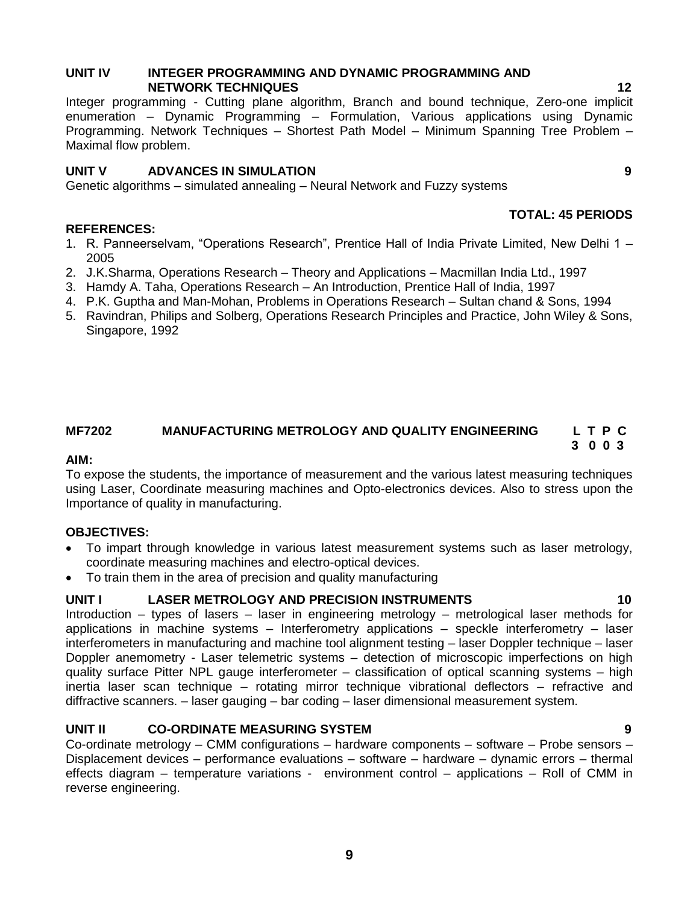### **UNIT IV INTEGER PROGRAMMING AND DYNAMIC PROGRAMMING AND NETWORK TECHNIQUES 12**

Integer programming - Cutting plane algorithm, Branch and bound technique, Zero-one implicit enumeration – Dynamic Programming – Formulation, Various applications using Dynamic Programming. Network Techniques – Shortest Path Model – Minimum Spanning Tree Problem – Maximal flow problem.

# **UNIT V ADVANCES IN SIMULATION 9**

Genetic algorithms – simulated annealing – Neural Network and Fuzzy systems

- 1. R. Panneerselvam, "Operations Research", Prentice Hall of India Private Limited, New Delhi 1 2005
- 2. J.K.Sharma, Operations Research Theory and Applications Macmillan India Ltd., 1997
- 3. Hamdy A. Taha, Operations Research An Introduction, Prentice Hall of India, 1997
- 4. P.K. Guptha and Man-Mohan, Problems in Operations Research Sultan chand & Sons, 1994
- 5. Ravindran, Philips and Solberg, Operations Research Principles and Practice, John Wiley & Sons, Singapore, 1992

#### **MF7202 MANUFACTURING METROLOGY AND QUALITY ENGINEERING L T P C 3 0 0 3**

### **AIM:**

To expose the students, the importance of measurement and the various latest measuring techniques using Laser, Coordinate measuring machines and Opto-electronics devices. Also to stress upon the Importance of quality in manufacturing.

### **OBJECTIVES:**

**REFERENCES:**

- To impart through knowledge in various latest measurement systems such as laser metrology, coordinate measuring machines and electro-optical devices.
- To train them in the area of precision and quality manufacturing

# **UNIT I LASER METROLOGY AND PRECISION INSTRUMENTS 10**

Introduction – types of lasers – laser in engineering metrology – metrological laser methods for applications in machine systems – Interferometry applications – speckle interferometry – laser interferometers in manufacturing and machine tool alignment testing – laser Doppler technique – laser Doppler anemometry - Laser telemetric systems – detection of microscopic imperfections on high quality surface Pitter NPL gauge interferometer – classification of optical scanning systems – high inertia laser scan technique – rotating mirror technique vibrational deflectors – refractive and diffractive scanners. – laser gauging – bar coding – laser dimensional measurement system.

# **UNIT II CO-ORDINATE MEASURING SYSTEM 9**

Co-ordinate metrology – CMM configurations – hardware components – software – Probe sensors – Displacement devices – performance evaluations – software – hardware – dynamic errors – thermal effects diagram – temperature variations - environment control – applications – Roll of CMM in reverse engineering.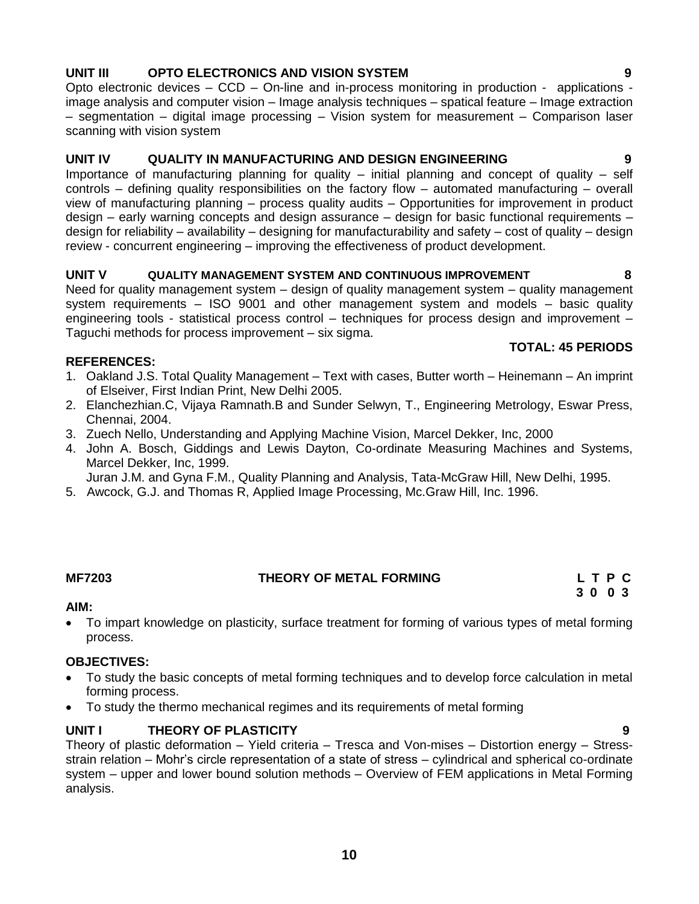# **10**

# **UNIT III OPTO ELECTRONICS AND VISION SYSTEM 9**

Opto electronic devices – CCD – On-line and in-process monitoring in production - applications image analysis and computer vision – Image analysis techniques – spatical feature – Image extraction – segmentation – digital image processing – Vision system for measurement – Comparison laser scanning with vision system

# **UNIT IV QUALITY IN MANUFACTURING AND DESIGN ENGINEERING 9**

Importance of manufacturing planning for quality – initial planning and concept of quality – self controls – defining quality responsibilities on the factory flow – automated manufacturing – overall view of manufacturing planning – process quality audits – Opportunities for improvement in product design – early warning concepts and design assurance – design for basic functional requirements – design for reliability – availability – designing for manufacturability and safety – cost of quality – design review - concurrent engineering – improving the effectiveness of product development.

### **UNIT V QUALITY MANAGEMENT SYSTEM AND CONTINUOUS IMPROVEMENT 8**

Need for quality management system – design of quality management system – quality management system requirements – ISO 9001 and other management system and models – basic quality engineering tools - statistical process control – techniques for process design and improvement – Taguchi methods for process improvement – six sigma.

### **REFERENCES:**

- 1. Oakland J.S. Total Quality Management Text with cases, Butter worth Heinemann An imprint of Elseiver, First Indian Print, New Delhi 2005.
- 2. Elanchezhian.C, Vijaya Ramnath.B and Sunder Selwyn, T., Engineering Metrology, Eswar Press, Chennai, 2004.
- 3. Zuech Nello, Understanding and Applying Machine Vision, Marcel Dekker, Inc, 2000
- 4. John A. Bosch, Giddings and Lewis Dayton, Co-ordinate Measuring Machines and Systems, Marcel Dekker, Inc, 1999.

Juran J.M. and Gyna F.M., Quality Planning and Analysis, Tata-McGraw Hill, New Delhi, 1995.

5. Awcock, G.J. and Thomas R, Applied Image Processing, Mc.Graw Hill, Inc. 1996.

#### **AIM:**

 To impart knowledge on plasticity, surface treatment for forming of various types of metal forming process.

### **OBJECTIVES:**

- To study the basic concepts of metal forming techniques and to develop force calculation in metal forming process.
- To study the thermo mechanical regimes and its requirements of metal forming

# **UNIT I THEORY OF PLASTICITY 9**

Theory of plastic deformation – Yield criteria – Tresca and Von-mises – Distortion energy – Stressstrain relation – Mohr's circle representation of a state of stress – cylindrical and spherical co-ordinate system – upper and lower bound solution methods – Overview of FEM applications in Metal Forming analysis.

#### **TOTAL: 45 PERIODS**

**MF7203 THEORY OF METAL FORMING L T P C 3 0 0 3**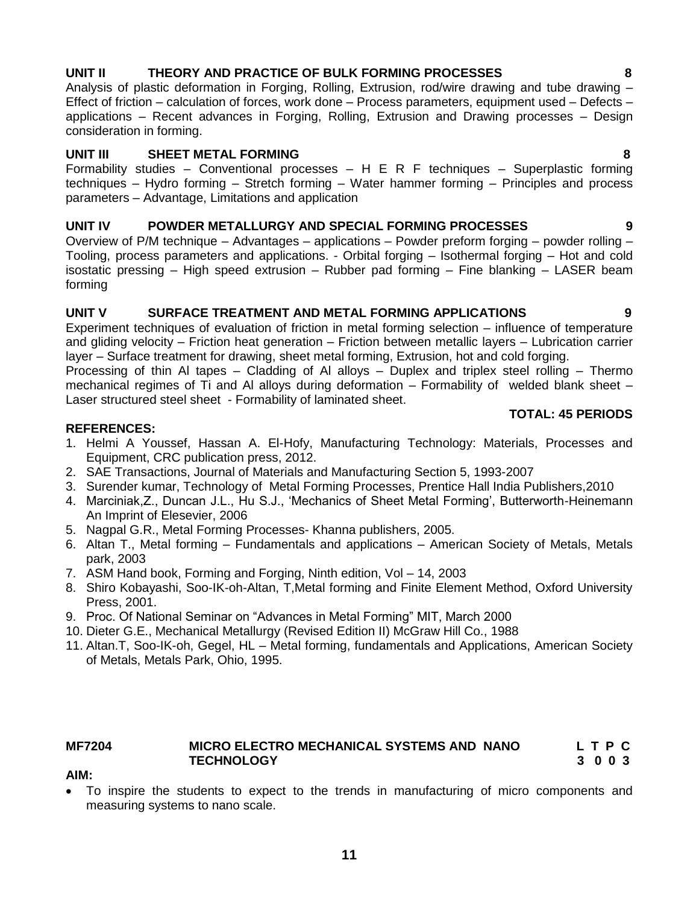# **UNIT II THEORY AND PRACTICE OF BULK FORMING PROCESSES 8**

Analysis of plastic deformation in Forging, Rolling, Extrusion, rod/wire drawing and tube drawing – Effect of friction – calculation of forces, work done – Process parameters, equipment used – Defects – applications – Recent advances in Forging, Rolling, Extrusion and Drawing processes – Design consideration in forming.

# **UNIT III SHEET METAL FORMING 8**

Formability studies – Conventional processes – H E R F techniques – Superplastic forming techniques – Hydro forming – Stretch forming – Water hammer forming – Principles and process parameters – Advantage, Limitations and application

# **UNIT IV POWDER METALLURGY AND SPECIAL FORMING PROCESSES 9**

Overview of P/M technique – Advantages – applications – Powder preform forging – powder rolling – Tooling, process parameters and applications. - Orbital forging – Isothermal forging – Hot and cold isostatic pressing – High speed extrusion – Rubber pad forming – Fine blanking – LASER beam forming

### **UNIT V SURFACE TREATMENT AND METAL FORMING APPLICATIONS 9**

Experiment techniques of evaluation of friction in metal forming selection – influence of temperature and gliding velocity – Friction heat generation – Friction between metallic layers – Lubrication carrier layer – Surface treatment for drawing, sheet metal forming, Extrusion, hot and cold forging.

Processing of thin Al tapes – Cladding of Al alloys – Duplex and triplex steel rolling – Thermo mechanical regimes of Ti and Al alloys during deformation – Formability of welded blank sheet – Laser structured steel sheet - Formability of laminated sheet.

### **REFERENCES:**

- 1. Helmi A Youssef, Hassan A. El-Hofy, Manufacturing Technology: Materials, Processes and Equipment, CRC publication press, 2012.
- 2. SAE Transactions, Journal of Materials and Manufacturing Section 5, 1993-2007
- 3. Surender kumar, Technology of Metal Forming Processes, Prentice Hall India Publishers,2010
- 4. Marciniak,Z., Duncan J.L., Hu S.J., ‗Mechanics of Sheet Metal Forming', Butterworth-Heinemann An Imprint of Elesevier, 2006
- 5. Nagpal G.R., Metal Forming Processes- Khanna publishers, 2005.
- 6. Altan T., Metal forming Fundamentals and applications American Society of Metals, Metals park, 2003
- 7. ASM Hand book, Forming and Forging, Ninth edition, Vol 14, 2003
- 8. Shiro Kobayashi, Soo-IK-oh-Altan, T,Metal forming and Finite Element Method, Oxford University Press, 2001.
- 9. Proc. Of National Seminar on "Advances in Metal Forming" MIT, March 2000
- 10. Dieter G.E., Mechanical Metallurgy (Revised Edition II) McGraw Hill Co., 1988
- 11. Altan.T, Soo-IK-oh, Gegel, HL Metal forming, fundamentals and Applications, American Society of Metals, Metals Park, Ohio, 1995.

### **MF7204 MICRO ELECTRO MECHANICAL SYSTEMS AND NANO L T P C TECHNOLOGY 3 0 0 3**

### **AIM:**

 To inspire the students to expect to the trends in manufacturing of micro components and measuring systems to nano scale.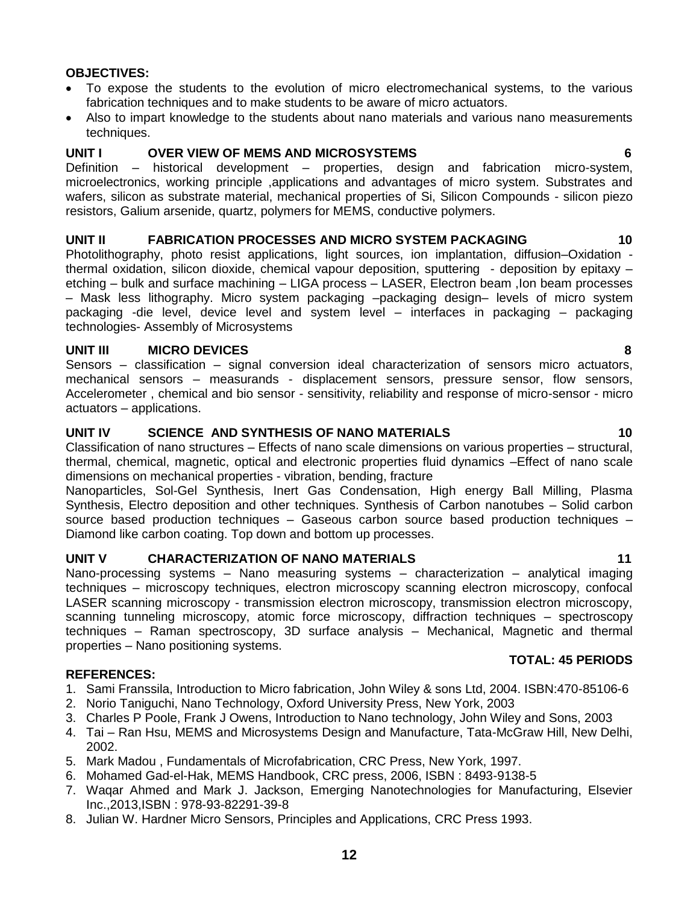### **OBJECTIVES:**

- To expose the students to the evolution of micro electromechanical systems, to the various fabrication techniques and to make students to be aware of micro actuators.
- Also to impart knowledge to the students about nano materials and various nano measurements techniques.

### **UNIT I OVER VIEW OF MEMS AND MICROSYSTEMS 6**

Definition – historical development – properties, design and fabrication micro-system, microelectronics, working principle ,applications and advantages of micro system. Substrates and wafers, silicon as substrate material, mechanical properties of Si, Silicon Compounds - silicon piezo resistors, Galium arsenide, quartz, polymers for MEMS, conductive polymers.

#### **UNIT II FABRICATION PROCESSES AND MICRO SYSTEM PACKAGING 10**

Photolithography, photo resist applications, light sources, ion implantation, diffusion–Oxidation thermal oxidation, silicon dioxide, chemical vapour deposition, sputtering - deposition by epitaxy etching – bulk and surface machining – LIGA process – LASER, Electron beam ,Ion beam processes – Mask less lithography. Micro system packaging –packaging design– levels of micro system packaging -die level, device level and system level – interfaces in packaging – packaging technologies- Assembly of Microsystems

#### **UNIT III MICRO DEVICES 8**

Sensors – classification – signal conversion ideal characterization of sensors micro actuators, mechanical sensors – measurands - displacement sensors, pressure sensor, flow sensors, Accelerometer , chemical and bio sensor - sensitivity, reliability and response of micro-sensor - micro actuators – applications.

# **UNIT IV SCIENCE AND SYNTHESIS OF NANO MATERIALS 10**

Classification of nano structures – Effects of nano scale dimensions on various properties – structural, thermal, chemical, magnetic, optical and electronic properties fluid dynamics –Effect of nano scale dimensions on mechanical properties - vibration, bending, fracture

Nanoparticles, Sol-Gel Synthesis, Inert Gas Condensation, High energy Ball Milling, Plasma Synthesis, Electro deposition and other techniques. Synthesis of Carbon nanotubes – Solid carbon source based production techniques – Gaseous carbon source based production techniques – Diamond like carbon coating. Top down and bottom up processes.

### **UNIT V CHARACTERIZATION OF NANO MATERIALS 11**

Nano-processing systems – Nano measuring systems – characterization – analytical imaging techniques – microscopy techniques, electron microscopy scanning electron microscopy, confocal LASER scanning microscopy - transmission electron microscopy, transmission electron microscopy, scanning tunneling microscopy, atomic force microscopy, diffraction techniques – spectroscopy techniques – Raman spectroscopy, 3D surface analysis – Mechanical, Magnetic and thermal properties – Nano positioning systems.

#### **REFERENCES:**

- 1. Sami Franssila, Introduction to Micro fabrication, John Wiley & sons Ltd, 2004. ISBN:470-85106-6
- 2. Norio Taniguchi, Nano Technology, Oxford University Press, New York, 2003
- 3. Charles P Poole, Frank J Owens, Introduction to Nano technology, John Wiley and Sons, 2003
- 4. Tai Ran Hsu, MEMS and Microsystems Design and Manufacture, Tata-McGraw Hill, New Delhi, 2002.
- 5. Mark Madou , Fundamentals of Microfabrication, CRC Press, New York, 1997.
- 6. Mohamed Gad-el-Hak, MEMS Handbook, CRC press, 2006, ISBN : 8493-9138-5
- 7. Waqar Ahmed and Mark J. Jackson, Emerging Nanotechnologies for Manufacturing, Elsevier Inc.,2013,ISBN : 978-93-82291-39-8
- 8. Julian W. Hardner Micro Sensors, Principles and Applications, CRC Press 1993.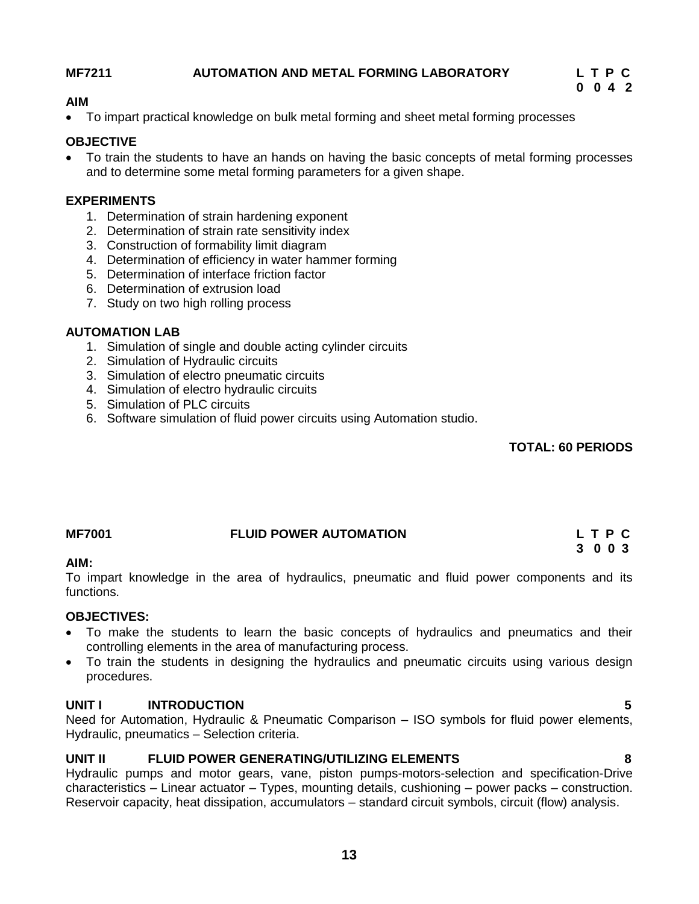### **MF7211 AUTOMATION AND METAL FORMING LABORATORY L T P C**

 **0 0 4 2**

### **AIM**

To impart practical knowledge on bulk metal forming and sheet metal forming processes

### **OBJECTIVE**

 To train the students to have an hands on having the basic concepts of metal forming processes and to determine some metal forming parameters for a given shape.

### **EXPERIMENTS**

- 1. Determination of strain hardening exponent
- 2. Determination of strain rate sensitivity index
- 3. Construction of formability limit diagram
- 4. Determination of efficiency in water hammer forming
- 5. Determination of interface friction factor
- 6. Determination of extrusion load
- 7. Study on two high rolling process

### **AUTOMATION LAB**

- 1. Simulation of single and double acting cylinder circuits
- 2. Simulation of Hydraulic circuits
- 3. Simulation of electro pneumatic circuits
- 4. Simulation of electro hydraulic circuits
- 5. Simulation of PLC circuits
- 6. Software simulation of fluid power circuits using Automation studio.

### **TOTAL: 60 PERIODS**

# **MF7001 FLUID POWER AUTOMATION L T P C 3 0 0 3**

### **AIM:**

To impart knowledge in the area of hydraulics, pneumatic and fluid power components and its functions.

### **OBJECTIVES:**

- To make the students to learn the basic concepts of hydraulics and pneumatics and their controlling elements in the area of manufacturing process.
- To train the students in designing the hydraulics and pneumatic circuits using various design procedures.

### **UNIT I INTRODUCTION 5**

Need for Automation, Hydraulic & Pneumatic Comparison – ISO symbols for fluid power elements, Hydraulic, pneumatics – Selection criteria.

### **UNIT II FLUID POWER GENERATING/UTILIZING ELEMENTS 8**

Hydraulic pumps and motor gears, vane, piston pumps-motors-selection and specification-Drive characteristics – Linear actuator – Types, mounting details, cushioning – power packs – construction. Reservoir capacity, heat dissipation, accumulators – standard circuit symbols, circuit (flow) analysis.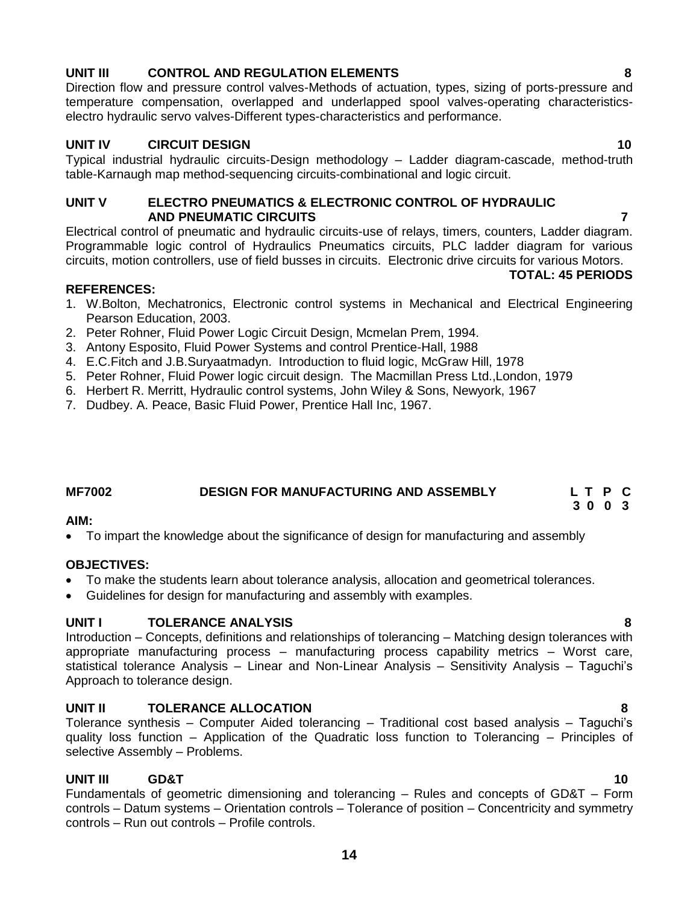# **14**

# **UNIT III CONTROL AND REGULATION ELEMENTS 8**

Direction flow and pressure control valves-Methods of actuation, types, sizing of ports-pressure and temperature compensation, overlapped and underlapped spool valves-operating characteristicselectro hydraulic servo valves-Different types-characteristics and performance.

# **UNIT IV CIRCUIT DESIGN 10**

Typical industrial hydraulic circuits-Design methodology – Ladder diagram-cascade, method-truth table-Karnaugh map method-sequencing circuits-combinational and logic circuit.

# **UNIT V ELECTRO PNEUMATICS & ELECTRONIC CONTROL OF HYDRAULIC AND PNEUMATIC CIRCUITS 7**

Electrical control of pneumatic and hydraulic circuits-use of relays, timers, counters, Ladder diagram. Programmable logic control of Hydraulics Pneumatics circuits, PLC ladder diagram for various circuits, motion controllers, use of field busses in circuits. Electronic drive circuits for various Motors.

# **REFERENCES:**

- 1. W.Bolton, Mechatronics, Electronic control systems in Mechanical and Electrical Engineering Pearson Education, 2003.
- 2. Peter Rohner, Fluid Power Logic Circuit Design, Mcmelan Prem, 1994.
- 3. Antony Esposito, Fluid Power Systems and control Prentice-Hall, 1988
- 4. E.C.Fitch and J.B.Suryaatmadyn. Introduction to fluid logic, McGraw Hill, 1978
- 5. Peter Rohner, Fluid Power logic circuit design. The Macmillan Press Ltd.,London, 1979
- 6. Herbert R. Merritt, Hydraulic control systems, John Wiley & Sons, Newyork, 1967
- 7. Dudbey. A. Peace, Basic Fluid Power, Prentice Hall Inc, 1967.

#### **MF7002 DESIGN FOR MANUFACTURING AND ASSEMBLY L T P C 3 0 0 3**

# **AIM:**

To impart the knowledge about the significance of design for manufacturing and assembly

# **OBJECTIVES:**

- To make the students learn about tolerance analysis, allocation and geometrical tolerances.
- Guidelines for design for manufacturing and assembly with examples.

# **UNIT I TOLERANCE ANALYSIS 8**

Introduction – Concepts, definitions and relationships of tolerancing – Matching design tolerances with appropriate manufacturing process – manufacturing process capability metrics – Worst care, statistical tolerance Analysis – Linear and Non-Linear Analysis – Sensitivity Analysis – Taguchi's Approach to tolerance design.

# **UNIT II TOLERANCE ALLOCATION 8**

Tolerance synthesis – Computer Aided tolerancing – Traditional cost based analysis – Taguchi's quality loss function – Application of the Quadratic loss function to Tolerancing – Principles of selective Assembly – Problems.

# **UNIT III GD&T 10**

Fundamentals of geometric dimensioning and tolerancing – Rules and concepts of GD&T – Form controls – Datum systems – Orientation controls – Tolerance of position – Concentricity and symmetry controls – Run out controls – Profile controls.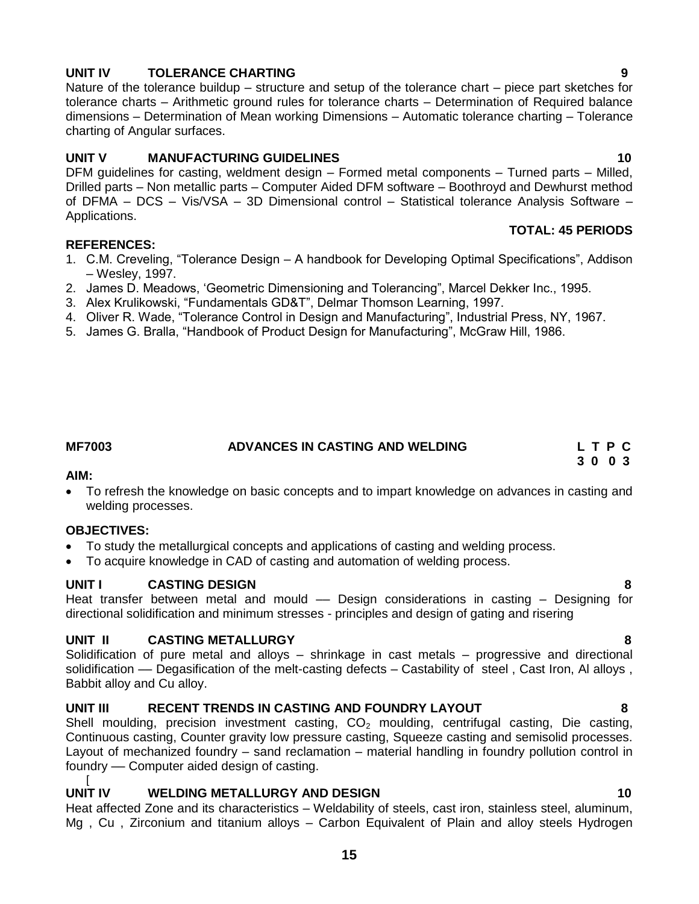# directional solidification and minimum stresses - principles and design of gating and risering

### **UNIT II CASTING METALLURGY 8**

Solidification of pure metal and alloys – shrinkage in cast metals – progressive and directional solidification -- Degasification of the melt-casting defects - Castability of steel, Cast Iron, Al alloys, Babbit alloy and Cu alloy.

Heat transfer between metal and mould – Design considerations in casting – Designing for

#### **UNIT III RECENT TRENDS IN CASTING AND FOUNDRY LAYOUT 8**

Shell moulding, precision investment casting,  $CO<sub>2</sub>$  moulding, centrifugal casting, Die casting, Continuous casting, Counter gravity low pressure casting, Squeeze casting and semisolid processes. Layout of mechanized foundry – sand reclamation – material handling in foundry pollution control in foundry –– Computer aided design of casting.

[

### **UNIT IV WELDING METALLURGY AND DESIGN 10**

Heat affected Zone and its characteristics – Weldability of steels, cast iron, stainless steel, aluminum, Mg , Cu , Zirconium and titanium alloys – Carbon Equivalent of Plain and alloy steels Hydrogen

# **UNIT IV TOLERANCE CHARTING 9**

Nature of the tolerance buildup – structure and setup of the tolerance chart – piece part sketches for tolerance charts – Arithmetic ground rules for tolerance charts – Determination of Required balance dimensions – Determination of Mean working Dimensions – Automatic tolerance charting – Tolerance charting of Angular surfaces.

# **UNIT V MANUFACTURING GUIDELINES** 10

DFM guidelines for casting, weldment design – Formed metal components – Turned parts – Milled, Drilled parts – Non metallic parts – Computer Aided DFM software – Boothroyd and Dewhurst method of DFMA – DCS – Vis/VSA – 3D Dimensional control – Statistical tolerance Analysis Software – Applications. **TOTAL: 45 PERIODS**

#### **REFERENCES:**

- 1. C.M. Creveling, "Tolerance Design A handbook for Developing Optimal Specifications", Addison – Wesley, 1997.
- 2. James D. Meadows, 'Geometric Dimensioning and Tolerancing", Marcel Dekker Inc., 1995.
- 3. Alex Krulikowski, "Fundamentals GD&T", Delmar Thomson Learning, 1997.
- 4. Oliver R. Wade, "Tolerance Control in Design and Manufacturing", Industrial Press, NY, 1967.
- 5. James G. Bralla, "Handbook of Product Design for Manufacturing", McGraw Hill, 1986.

### **MF7003 ADVANCES IN CASTING AND WELDING L T P C 3 0 0 3**

### **AIM:**

 To refresh the knowledge on basic concepts and to impart knowledge on advances in casting and welding processes.

### **OBJECTIVES:**

- To study the metallurgical concepts and applications of casting and welding process.
- To acquire knowledge in CAD of casting and automation of welding process.

### **UNIT I CASTING DESIGN 8**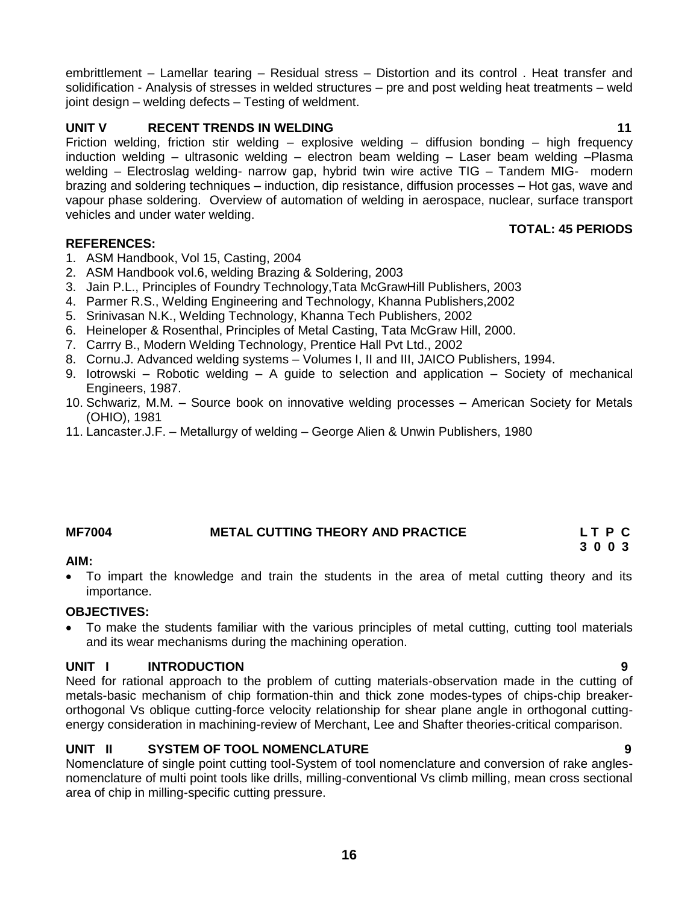embrittlement – Lamellar tearing – Residual stress – Distortion and its control . Heat transfer and solidification - Analysis of stresses in welded structures – pre and post welding heat treatments – weld joint design – welding defects – Testing of weldment.

# **UNIT V RECENT TRENDS IN WELDING 11 11**

Friction welding, friction stir welding – explosive welding – diffusion bonding – high frequency induction welding – ultrasonic welding – electron beam welding – Laser beam welding –Plasma welding – Electroslag welding- narrow gap, hybrid twin wire active TIG – Tandem MIG- modern brazing and soldering techniques – induction, dip resistance, diffusion processes – Hot gas, wave and vapour phase soldering. Overview of automation of welding in aerospace, nuclear, surface transport vehicles and under water welding.

### **REFERENCES:**

- 1. ASM Handbook, Vol 15, Casting, 2004
- 2. ASM Handbook vol.6, welding Brazing & Soldering, 2003
- 3. Jain P.L., Principles of Foundry Technology,Tata McGrawHill Publishers, 2003
- 4. Parmer R.S., Welding Engineering and Technology, Khanna Publishers,2002
- 5. Srinivasan N.K., Welding Technology, Khanna Tech Publishers, 2002
- 6. Heineloper & Rosenthal, Principles of Metal Casting, Tata McGraw Hill, 2000.
- 7. Carrry B., Modern Welding Technology, Prentice Hall Pvt Ltd., 2002
- 8. Cornu.J. Advanced welding systems Volumes I, II and III, JAICO Publishers, 1994.
- 9. Iotrowski Robotic welding A guide to selection and application Society of mechanical Engineers, 1987.
- 10. Schwariz, M.M. Source book on innovative welding processes American Society for Metals (OHIO), 1981
- 11. Lancaster.J.F. Metallurgy of welding George Alien & Unwin Publishers, 1980

# **MF7004 METAL CUTTING THEORY AND PRACTICE L T P C**

### **AIM:**

 To impart the knowledge and train the students in the area of metal cutting theory and its importance.

### **OBJECTIVES:**

 To make the students familiar with the various principles of metal cutting, cutting tool materials and its wear mechanisms during the machining operation.

### **UNIT I INTRODUCTION 9**

Need for rational approach to the problem of cutting materials-observation made in the cutting of metals-basic mechanism of chip formation-thin and thick zone modes-types of chips-chip breakerorthogonal Vs oblique cutting-force velocity relationship for shear plane angle in orthogonal cuttingenergy consideration in machining-review of Merchant, Lee and Shafter theories-critical comparison.

# **UNIT II SYSTEM OF TOOL NOMENCLATURE 9**

Nomenclature of single point cutting tool-System of tool nomenclature and conversion of rake anglesnomenclature of multi point tools like drills, milling-conventional Vs climb milling, mean cross sectional area of chip in milling-specific cutting pressure.

**TOTAL: 45 PERIODS**

 **3 0 0 3**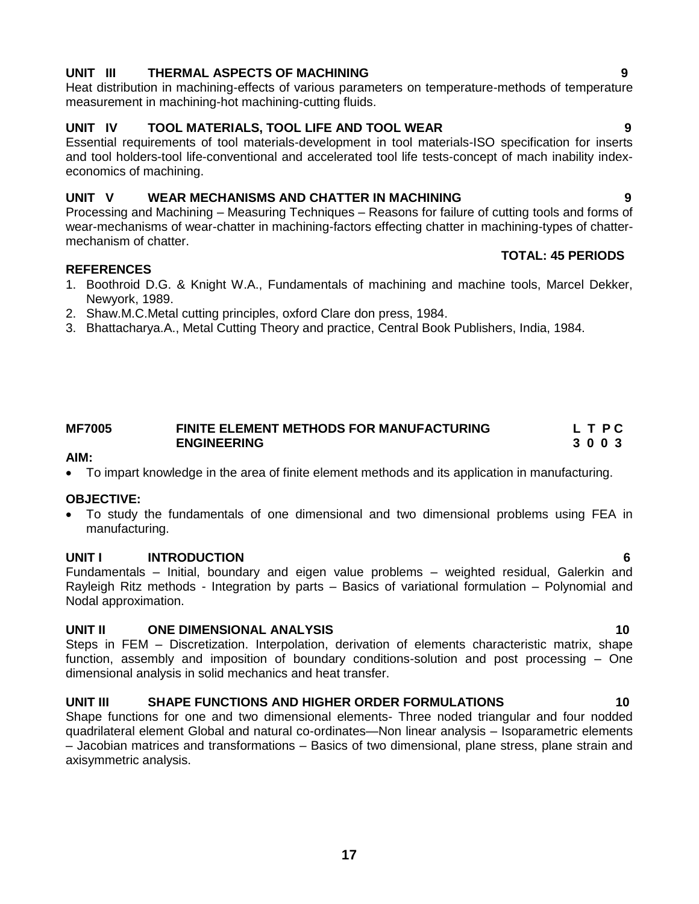# **UNIT III THERMAL ASPECTS OF MACHINING 9**

Heat distribution in machining-effects of various parameters on temperature-methods of temperature measurement in machining-hot machining-cutting fluids.

# **UNIT IV TOOL MATERIALS, TOOL LIFE AND TOOL WEAR 9**

Essential requirements of tool materials-development in tool materials-ISO specification for inserts and tool holders-tool life-conventional and accelerated tool life tests-concept of mach inability indexeconomics of machining.

### **UNIT V WEAR MECHANISMS AND CHATTER IN MACHINING 9**

Processing and Machining – Measuring Techniques – Reasons for failure of cutting tools and forms of wear-mechanisms of wear-chatter in machining-factors effecting chatter in machining-types of chattermechanism of chatter.  **TOTAL: 45 PERIODS**

#### **REFERENCES**

- 1. Boothroid D.G. & Knight W.A., Fundamentals of machining and machine tools, Marcel Dekker, Newyork, 1989.
- 2. Shaw.M.C.Metal cutting principles, oxford Clare don press, 1984.
- 3. Bhattacharya.A., Metal Cutting Theory and practice, Central Book Publishers, India, 1984.

#### **MF7005 FINITE ELEMENT METHODS FOR MANUFACTURING L T P C ENGINEERING 3 0 0 3**

#### **AIM:**

To impart knowledge in the area of finite element methods and its application in manufacturing.

### **OBJECTIVE:**

 To study the fundamentals of one dimensional and two dimensional problems using FEA in manufacturing.

### **UNIT I INTRODUCTION 6**

Fundamentals – Initial, boundary and eigen value problems – weighted residual, Galerkin and Rayleigh Ritz methods - Integration by parts – Basics of variational formulation – Polynomial and Nodal approximation.

### **UNIT II ONE DIMENSIONAL ANALYSIS 10**

Steps in FEM – Discretization. Interpolation, derivation of elements characteristic matrix, shape function, assembly and imposition of boundary conditions-solution and post processing – One dimensional analysis in solid mechanics and heat transfer.

### **UNIT III SHAPE FUNCTIONS AND HIGHER ORDER FORMULATIONS 10**

Shape functions for one and two dimensional elements- Three noded triangular and four nodded quadrilateral element Global and natural co-ordinates—Non linear analysis – Isoparametric elements – Jacobian matrices and transformations – Basics of two dimensional, plane stress, plane strain and axisymmetric analysis.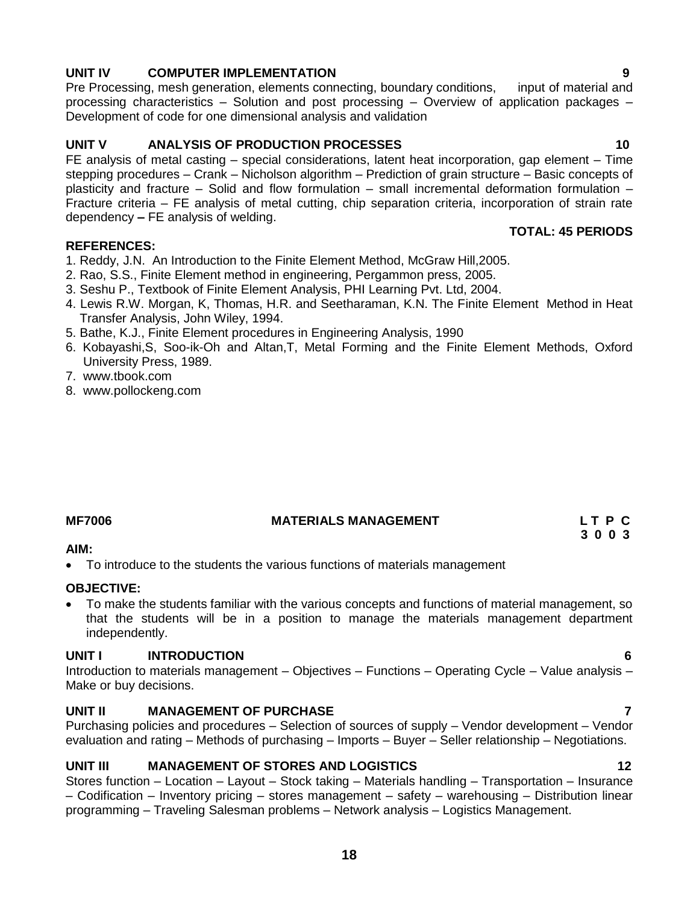# **UNIT IV COMPUTER IMPLEMENTATION 9**

Pre Processing, mesh generation, elements connecting, boundary conditions, input of material and processing characteristics – Solution and post processing – Overview of application packages – Development of code for one dimensional analysis and validation

### **UNIT V ANALYSIS OF PRODUCTION PROCESSES 10**

FE analysis of metal casting – special considerations, latent heat incorporation, gap element – Time stepping procedures – Crank – Nicholson algorithm – Prediction of grain structure – Basic concepts of plasticity and fracture – Solid and flow formulation – small incremental deformation formulation – Fracture criteria – FE analysis of metal cutting, chip separation criteria, incorporation of strain rate dependency **–** FE analysis of welding.  **TOTAL: 45 PERIODS**

#### **REFERENCES:**

- 1. Reddy, J.N. An Introduction to the Finite Element Method, McGraw Hill,2005.
- 2. Rao, S.S., Finite Element method in engineering, Pergammon press, 2005.
- 3. Seshu P., Textbook of Finite Element Analysis, PHI Learning Pvt. Ltd, 2004.
- 4. Lewis R.W. Morgan, K, Thomas, H.R. and Seetharaman, K.N. The Finite Element Method in Heat Transfer Analysis, John Wiley, 1994.
- 5. Bathe, K.J., Finite Element procedures in Engineering Analysis, 1990
- 6. Kobayashi,S, Soo-ik-Oh and Altan,T, Metal Forming and the Finite Element Methods, Oxford University Press, 1989.
- 7. www.tbook.com
- 8. [www.pollockeng.com](http://www.pollockeng.com/)

#### **MF7006 MATERIALS MANAGEMENT L T P C**

#### **AIM:**

• To introduce to the students the various functions of materials management

#### **OBJECTIVE:**

 To make the students familiar with the various concepts and functions of material management, so that the students will be in a position to manage the materials management department independently.

 **3 0 0 3**

### **UNIT I INTRODUCTION 6**

Introduction to materials management – Objectives – Functions – Operating Cycle – Value analysis – Make or buy decisions.

# **UNIT II MANAGEMENT OF PURCHASE** *T T*

Purchasing policies and procedures – Selection of sources of supply – Vendor development – Vendor evaluation and rating – Methods of purchasing – Imports – Buyer – Seller relationship – Negotiations.

### **UNIT III MANAGEMENT OF STORES AND LOGISTICS 12**

Stores function – Location – Layout – Stock taking – Materials handling – Transportation – Insurance – Codification – Inventory pricing – stores management – safety – warehousing – Distribution linear programming – Traveling Salesman problems – Network analysis – Logistics Management.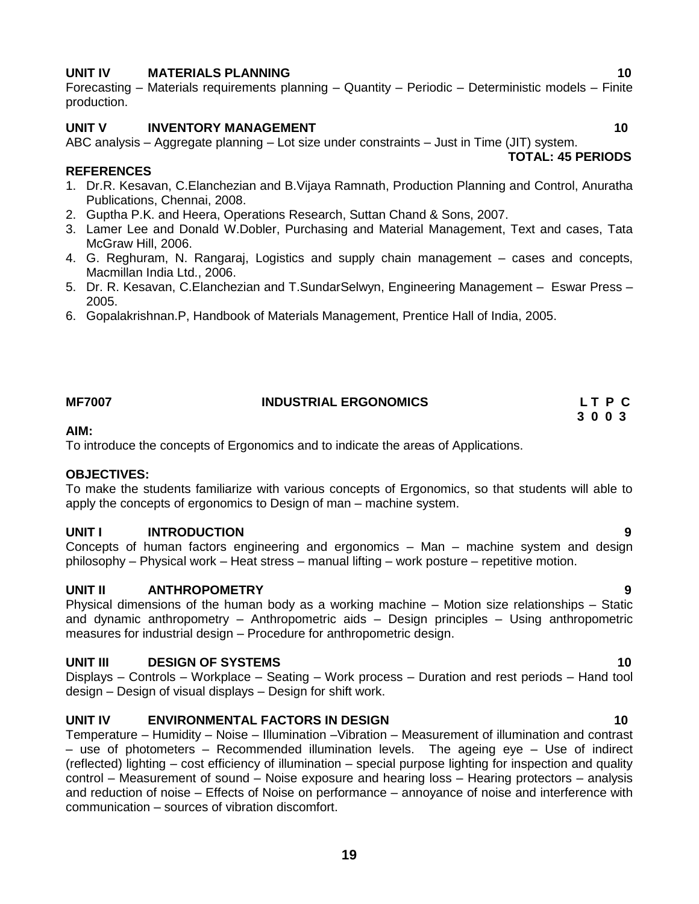# **UNIT IV MATERIALS PLANNING 10**

Forecasting – Materials requirements planning – Quantity – Periodic – Deterministic models – Finite production.

# **UNIT V INVENTORY MANAGEMENT 10**

ABC analysis – Aggregate planning – Lot size under constraints – Just in Time (JIT) system.  **TOTAL: 45 PERIODS**

# **REFERENCES**

- 1. Dr.R. Kesavan, C.Elanchezian and B.Vijaya Ramnath, Production Planning and Control, Anuratha Publications, Chennai, 2008.
- 2. Guptha P.K. and Heera, Operations Research, Suttan Chand & Sons, 2007.
- 3. Lamer Lee and Donald W.Dobler, Purchasing and Material Management, Text and cases, Tata McGraw Hill, 2006.
- 4. G. Reghuram, N. Rangaraj, Logistics and supply chain management cases and concepts, Macmillan India Ltd., 2006.
- 5. Dr. R. Kesavan, C.Elanchezian and T.SundarSelwyn, Engineering Management Eswar Press 2005.
- 6. Gopalakrishnan.P, Handbook of Materials Management, Prentice Hall of India, 2005.

# **MF7007 INDUSTRIAL ERGONOMICS L T P C**

# **AIM:**

To introduce the concepts of Ergonomics and to indicate the areas of Applications.

# **OBJECTIVES:**

To make the students familiarize with various concepts of Ergonomics, so that students will able to apply the concepts of ergonomics to Design of man – machine system.

# **UNIT I INTRODUCTION 9**

Concepts of human factors engineering and ergonomics – Man – machine system and design philosophy – Physical work – Heat stress – manual lifting – work posture – repetitive motion.

# **UNIT II ANTHROPOMETRY 9**

Physical dimensions of the human body as a working machine – Motion size relationships – Static and dynamic anthropometry – Anthropometric aids – Design principles – Using anthropometric measures for industrial design – Procedure for anthropometric design.

# **UNIT III** DESIGN OF SYSTEMS 10

Displays – Controls – Workplace – Seating – Work process – Duration and rest periods – Hand tool design – Design of visual displays – Design for shift work.

# **UNIT IV ENVIRONMENTAL FACTORS IN DESIGN 10**

Temperature – Humidity – Noise – Illumination –Vibration – Measurement of illumination and contrast – use of photometers – Recommended illumination levels. The ageing eye – Use of indirect (reflected) lighting – cost efficiency of illumination – special purpose lighting for inspection and quality control – Measurement of sound – Noise exposure and hearing loss – Hearing protectors – analysis and reduction of noise – Effects of Noise on performance – annoyance of noise and interference with communication – sources of vibration discomfort.

**19**

 **3 0 0 3**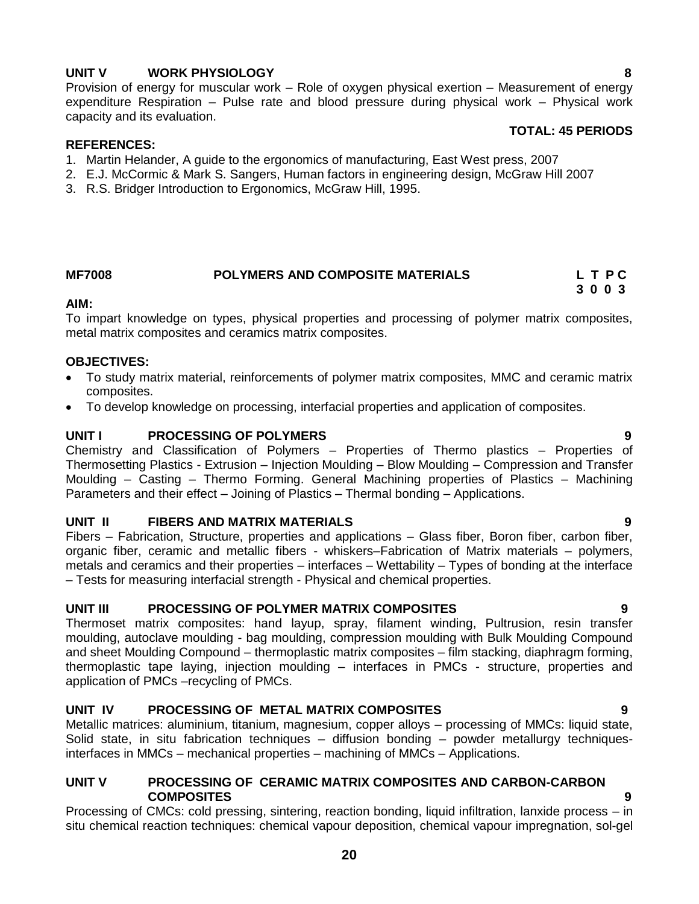# **UNIT V WORK PHYSIOLOGY 8**

Provision of energy for muscular work – Role of oxygen physical exertion – Measurement of energy expenditure Respiration – Pulse rate and blood pressure during physical work – Physical work capacity and its evaluation.

#### **TOTAL: 45 PERIODS**

#### **REFERENCES:**

- 1. Martin Helander, A guide to the ergonomics of manufacturing, East West press, 2007
- 2. E.J. McCormic & Mark S. Sangers, Human factors in engineering design, McGraw Hill 2007
- 3. R.S. Bridger Introduction to Ergonomics, McGraw Hill, 1995.

### **MF7008 POLYMERS AND COMPOSITE MATERIALS L T P C**

# **3 0 0 3**

### **AIM:**

To impart knowledge on types, physical properties and processing of polymer matrix composites, metal matrix composites and ceramics matrix composites.

#### **OBJECTIVES:**

- To study matrix material, reinforcements of polymer matrix composites, MMC and ceramic matrix composites.
- To develop knowledge on processing, interfacial properties and application of composites.

### **UNIT I PROCESSING OF POLYMERS 9**

Chemistry and Classification of Polymers – Properties of Thermo plastics – Properties of Thermosetting Plastics - Extrusion – Injection Moulding – Blow Moulding – Compression and Transfer Moulding – Casting – Thermo Forming. General Machining properties of Plastics – Machining Parameters and their effect – Joining of Plastics – Thermal bonding – Applications.

### **UNIT II FIBERS AND MATRIX MATERIALS 9**

Fibers – Fabrication, Structure, properties and applications – Glass fiber, Boron fiber, carbon fiber, organic fiber, ceramic and metallic fibers - whiskers–Fabrication of Matrix materials – polymers, metals and ceramics and their properties – interfaces – Wettability – Types of bonding at the interface – Tests for measuring interfacial strength - Physical and chemical properties.

### **UNIT III PROCESSING OF POLYMER MATRIX COMPOSITES 9**

Thermoset matrix composites: hand layup, spray, filament winding, Pultrusion, resin transfer moulding, autoclave moulding - bag moulding, compression moulding with Bulk Moulding Compound and sheet Moulding Compound – thermoplastic matrix composites – film stacking, diaphragm forming, thermoplastic tape laying, injection moulding – interfaces in PMCs - structure, properties and application of PMCs –recycling of PMCs.

### **UNIT IV PROCESSING OF METAL MATRIX COMPOSITES 9**

Metallic matrices: aluminium, titanium, magnesium, copper alloys – processing of MMCs: liquid state, Solid state, in situ fabrication techniques – diffusion bonding – powder metallurgy techniquesinterfaces in MMCs – mechanical properties – machining of MMCs – Applications.

### **UNIT V PROCESSING OF CERAMIC MATRIX COMPOSITES AND CARBON-CARBON COMPOSITES 9**

Processing of CMCs: cold pressing, sintering, reaction bonding, liquid infiltration, lanxide process – in situ chemical reaction techniques: chemical vapour deposition, chemical vapour impregnation, sol-gel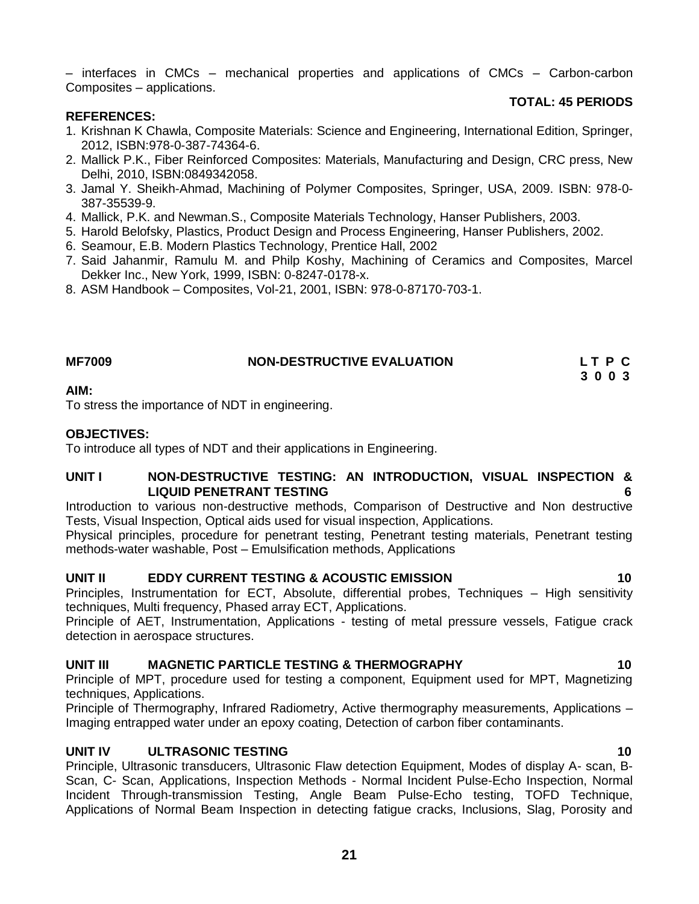– interfaces in CMCs – mechanical properties and applications of CMCs – Carbon-carbon Composites – applications.

#### **TOTAL: 45 PERIODS**

#### **REFERENCES:**

- 1. Krishnan K Chawla, Composite Materials: Science and Engineering, International Edition, Springer, 2012, ISBN:978-0-387-74364-6.
- 2. Mallick P.K., Fiber Reinforced Composites: Materials, Manufacturing and Design, CRC press, New Delhi, 2010, ISBN:0849342058.
- 3. Jamal Y. Sheikh-Ahmad, Machining of Polymer Composites, Springer, USA, 2009. ISBN: 978-0- 387-35539-9.
- 4. Mallick, P.K. and Newman.S., Composite Materials Technology, Hanser Publishers, 2003.
- 5. Harold Belofsky, Plastics, Product Design and Process Engineering, Hanser Publishers, 2002.
- 6. Seamour, E.B. Modern Plastics Technology, Prentice Hall, 2002
- 7. Said Jahanmir, Ramulu M. and Philp Koshy, Machining of Ceramics and Composites, Marcel Dekker Inc., New York, 1999, ISBN: 0-8247-0178-x.
- 8. ASM Handbook Composites, Vol-21, 2001, ISBN: 978-0-87170-703-1.

| <b>MF7009</b> | <b>NON-DESTRUCTIVE EVALUATION</b> | LTPC |  |
|---------------|-----------------------------------|------|--|
|               |                                   | 3003 |  |

#### **AIM:**

To stress the importance of NDT in engineering.

#### **OBJECTIVES:**

To introduce all types of NDT and their applications in Engineering.

#### **UNIT I NON-DESTRUCTIVE TESTING: AN INTRODUCTION, VISUAL INSPECTION & LIQUID PENETRANT TESTING 6**

Introduction to various non-destructive methods, Comparison of Destructive and Non destructive Tests, Visual Inspection, Optical aids used for visual inspection, Applications.

Physical principles, procedure for penetrant testing, Penetrant testing materials, Penetrant testing methods-water washable, Post – Emulsification methods, Applications

#### **UNIT II EDDY CURRENT TESTING & ACOUSTIC EMISSION 10**

Principles, Instrumentation for ECT, Absolute, differential probes, Techniques – High sensitivity techniques, Multi frequency, Phased array ECT, Applications.

Principle of AET, Instrumentation, Applications - testing of metal pressure vessels, Fatigue crack detection in aerospace structures.

### **UNIT III MAGNETIC PARTICLE TESTING & THERMOGRAPHY 10**

Principle of MPT, procedure used for testing a component, Equipment used for MPT, Magnetizing techniques, Applications.

Principle of Thermography, Infrared Radiometry, Active thermography measurements, Applications – Imaging entrapped water under an epoxy coating, Detection of carbon fiber contaminants.

#### **UNIT IV ULTRASONIC TESTING 10**

Principle, Ultrasonic transducers, Ultrasonic Flaw detection Equipment, Modes of display A- scan, B-Scan, C- Scan, Applications, Inspection Methods - Normal Incident Pulse-Echo Inspection, Normal Incident Through-transmission Testing, Angle Beam Pulse-Echo testing, TOFD Technique, Applications of Normal Beam Inspection in detecting fatigue cracks, Inclusions, Slag, Porosity and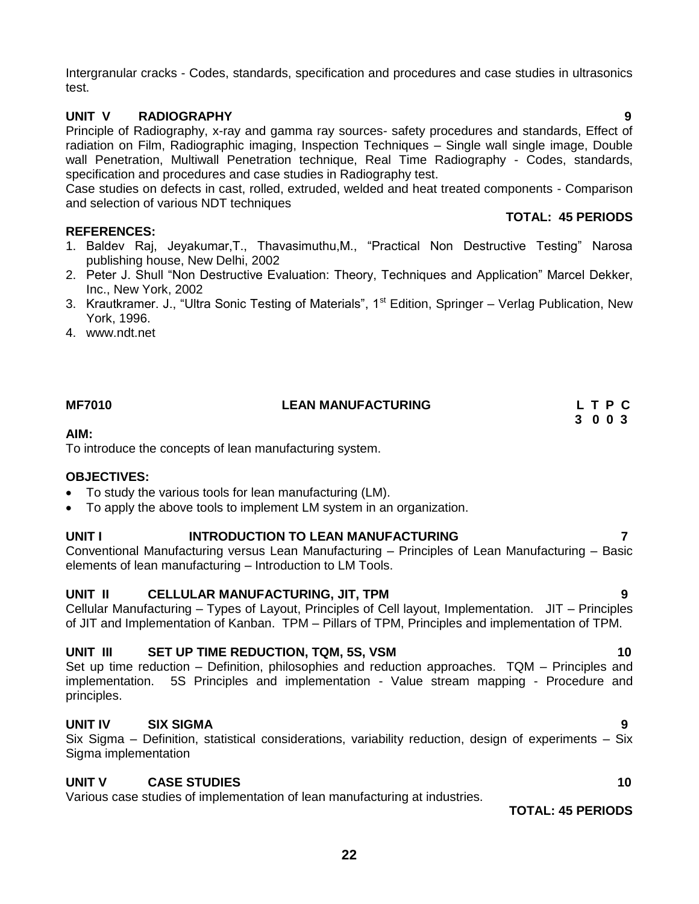Intergranular cracks - Codes, standards, specification and procedures and case studies in ultrasonics test.

# **UNIT V RADIOGRAPHY 9**

Principle of Radiography, x-ray and gamma ray sources- safety procedures and standards, Effect of radiation on Film, Radiographic imaging, Inspection Techniques – Single wall single image, Double wall Penetration, Multiwall Penetration technique, Real Time Radiography - Codes, standards, specification and procedures and case studies in Radiography test.

Case studies on defects in cast, rolled, extruded, welded and heat treated components - Comparison and selection of various NDT techniques

## **REFERENCES:**

- 1. Baldev Raj, Jeyakumar, T., Thavasimuthu, M., "Practical Non Destructive Testing" Narosa publishing house, New Delhi, 2002
- 2. Peter J. Shull "Non Destructive Evaluation: Theory, Techniques and Application" Marcel Dekker, Inc., New York, 2002
- 3. Krautkramer. J., "Ultra Sonic Testing of Materials", 1<sup>st</sup> Edition, Springer Verlag Publication, New York, 1996.
- 4. [www.ndt.net](http://www.ndt.net/)

#### **AIM:**

To introduce the concepts of lean manufacturing system.

### **OBJECTIVES:**

- To study the various tools for lean manufacturing (LM).
- To apply the above tools to implement LM system in an organization.

# **UNIT I INTRODUCTION TO LEAN MANUFACTURING 7**

Conventional Manufacturing versus Lean Manufacturing – Principles of Lean Manufacturing – Basic elements of lean manufacturing – Introduction to LM Tools.

# **UNIT II CELLULAR MANUFACTURING, JIT, TPM 9**

Cellular Manufacturing – Types of Layout, Principles of Cell layout, Implementation. JIT – Principles of JIT and Implementation of Kanban. TPM – Pillars of TPM, Principles and implementation of TPM.

# **UNIT III SET UP TIME REDUCTION, TQM, 5S, VSM 10**

Set up time reduction – Definition, philosophies and reduction approaches. TQM – Principles and implementation. 5S Principles and implementation - Value stream mapping - Procedure and principles.

# **UNIT IV SIX SIGMA 9**

Six Sigma – Definition, statistical considerations, variability reduction, design of experiments – Six Sigma implementation

### **UNIT V CASE STUDIES 10**

Various case studies of implementation of lean manufacturing at industries.

**TOTAL: 45 PERIODS**

**MF7010 LEAN MANUFACTURING L T P C 3 0 0 3**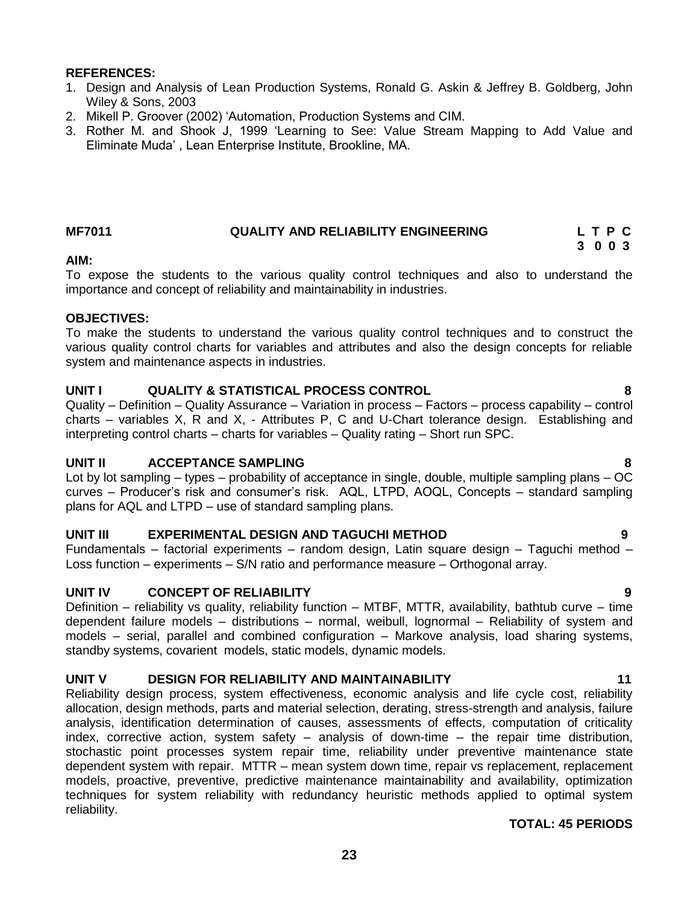- 1. Design and Analysis of Lean Production Systems, Ronald G. Askin & Jeffrey B. Goldberg, John Wiley & Sons, 2003
- 2. Mikell P. Groover (2002) 'Automation, Production Systems and CIM.
- 3. Rother M. and Shook J, 1999 ‗Learning to See: Value Stream Mapping to Add Value and Eliminate Muda' , Lean Enterprise Institute, Brookline, MA.

#### **MF7011 QUALITY AND RELIABILITY ENGINEERING L T P C**

 **3 0 0 3**

### **AIM:**

To expose the students to the various quality control techniques and also to understand the importance and concept of reliability and maintainability in industries.

#### **OBJECTIVES:**

To make the students to understand the various quality control techniques and to construct the various quality control charts for variables and attributes and also the design concepts for reliable system and maintenance aspects in industries.

### **UNIT I QUALITY & STATISTICAL PROCESS CONTROL 8**

Quality – Definition – Quality Assurance – Variation in process – Factors – process capability – control charts – variables X, R and X, - Attributes P, C and U-Chart tolerance design. Establishing and interpreting control charts – charts for variables – Quality rating – Short run SPC.

### **UNIT II ACCEPTANCE SAMPLING 8**

Lot by lot sampling – types – probability of acceptance in single, double, multiple sampling plans – OC curves – Producer's risk and consumer's risk. AQL, LTPD, AOQL, Concepts – standard sampling plans for AQL and LTPD – use of standard sampling plans.

### **UNIT III EXPERIMENTAL DESIGN AND TAGUCHI METHOD 9**

Fundamentals – factorial experiments – random design, Latin square design – Taguchi method – Loss function – experiments – S/N ratio and performance measure – Orthogonal array.

### **UNIT IV CONCEPT OF RELIABILITY 9**

Definition – reliability vs quality, reliability function – MTBF, MTTR, availability, bathtub curve – time dependent failure models – distributions – normal, weibull, lognormal – Reliability of system and models – serial, parallel and combined configuration – Markove analysis, load sharing systems, standby systems, covarient models, static models, dynamic models.

### **UNIT V DESIGN FOR RELIABILITY AND MAINTAINABILITY 11**

Reliability design process, system effectiveness, economic analysis and life cycle cost, reliability allocation, design methods, parts and material selection, derating, stress-strength and analysis, failure analysis, identification determination of causes, assessments of effects, computation of criticality index, corrective action, system safety – analysis of down-time – the repair time distribution, stochastic point processes system repair time, reliability under preventive maintenance state dependent system with repair. MTTR – mean system down time, repair vs replacement, replacement models, proactive, preventive, predictive maintenance maintainability and availability, optimization techniques for system reliability with redundancy heuristic methods applied to optimal system reliability.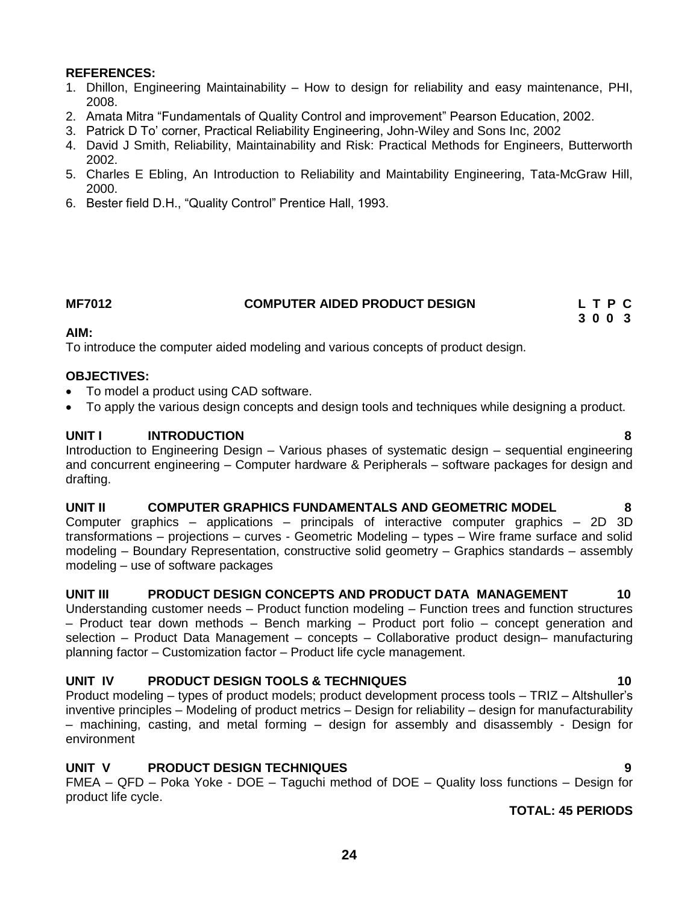- 1. Dhillon, Engineering Maintainability How to design for reliability and easy maintenance, PHI, 2008.
- 2. Amata Mitra "Fundamentals of Quality Control and improvement" Pearson Education, 2002.
- 3. Patrick D To' corner, Practical Reliability Engineering, John-Wiley and Sons Inc, 2002
- 4. David J Smith, Reliability, Maintainability and Risk: Practical Methods for Engineers, Butterworth 2002.
- 5. Charles E Ebling, An Introduction to Reliability and Maintability Engineering, Tata-McGraw Hill, 2000.
- 6. Bester field D.H., "Quality Control" Prentice Hall, 1993.

#### **MF7012 COMPUTER AIDED PRODUCT DESIGN L T P C**

 **3 0 0 3**

### **AIM:**

To introduce the computer aided modeling and various concepts of product design.

#### **OBJECTIVES:**

- To model a product using CAD software.
- To apply the various design concepts and design tools and techniques while designing a product.

#### **UNIT I INTRODUCTION 8**

Introduction to Engineering Design – Various phases of systematic design – sequential engineering and concurrent engineering – Computer hardware & Peripherals – software packages for design and drafting.

#### **UNIT II COMPUTER GRAPHICS FUNDAMENTALS AND GEOMETRIC MODEL 8**

Computer graphics – applications – principals of interactive computer graphics – 2D 3D transformations – projections – curves - Geometric Modeling – types – Wire frame surface and solid modeling – Boundary Representation, constructive solid geometry – Graphics standards – assembly modeling – use of software packages

#### **UNIT III PRODUCT DESIGN CONCEPTS AND PRODUCT DATA MANAGEMENT 10**

Understanding customer needs – Product function modeling – Function trees and function structures – Product tear down methods – Bench marking – Product port folio – concept generation and selection – Product Data Management – concepts – Collaborative product design– manufacturing planning factor – Customization factor – Product life cycle management.

### **UNIT IV PRODUCT DESIGN TOOLS & TECHNIQUES 10**

Product modeling – types of product models; product development process tools – TRIZ – Altshuller's inventive principles – Modeling of product metrics – Design for reliability – design for manufacturability – machining, casting, and metal forming – design for assembly and disassembly - Design for environment

### **UNIT V PRODUCT DESIGN TECHNIQUES 9**

FMEA – QFD – Poka Yoke - DOE – Taguchi method of DOE – Quality loss functions – Design for product life cycle.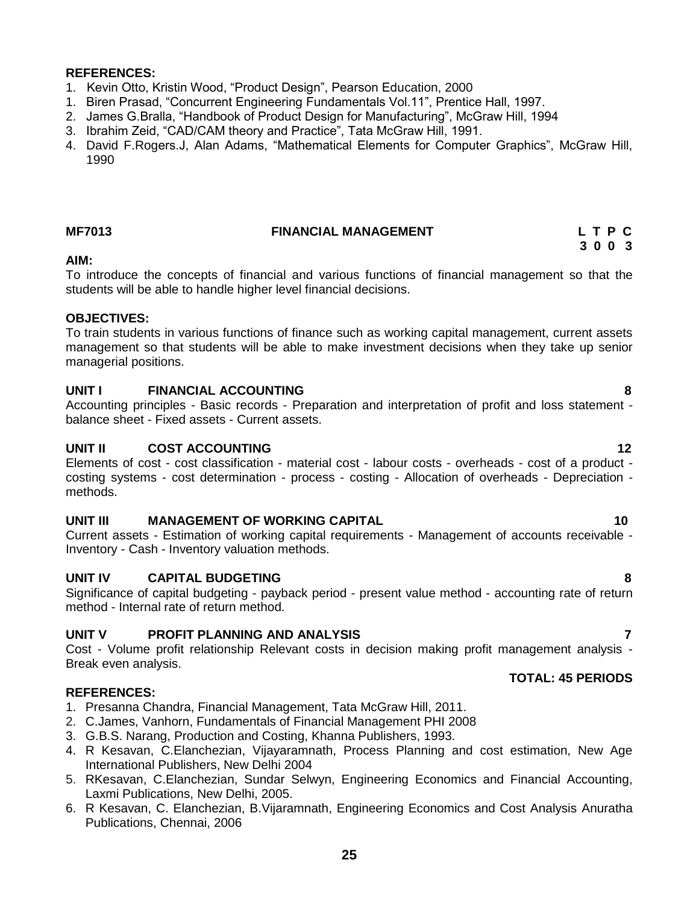- 1. Kevin Otto, Kristin Wood, "Product Design", Pearson Education, 2000
- 1. Biren Prasad, "Concurrent Engineering Fundamentals Vol.11", Prentice Hall, 1997.
- 2. James G.Bralla, "Handbook of Product Design for Manufacturing", McGraw Hill, 1994
- 3. Ibrahim Zeid, "CAD/CAM theory and Practice", Tata McGraw Hill, 1991.
- 4. David F.Rogers.J, Alan Adams, "Mathematical Elements for Computer Graphics", McGraw Hill, 1990

#### **MF7013 FINANCIAL MANAGEMENT L T P C**

 **3 0 0 3**

#### **AIM:**

To introduce the concepts of financial and various functions of financial management so that the students will be able to handle higher level financial decisions.

#### **OBJECTIVES:**

To train students in various functions of finance such as working capital management, current assets management so that students will be able to make investment decisions when they take up senior managerial positions.

### **UNIT I FINANCIAL ACCOUNTING 8**

Accounting principles - Basic records - Preparation and interpretation of profit and loss statement balance sheet - Fixed assets - Current assets.

### **UNIT II COST ACCOUNTING 12**

Elements of cost - cost classification - material cost - labour costs - overheads - cost of a product costing systems - cost determination - process - costing - Allocation of overheads - Depreciation methods.

### **UNIT III** MANAGEMENT OF WORKING CAPITAL **10**

Current assets - Estimation of working capital requirements - Management of accounts receivable - Inventory - Cash - Inventory valuation methods.

### **UNIT IV CAPITAL BUDGETING 8**

Significance of capital budgeting - payback period - present value method - accounting rate of return method - Internal rate of return method.

### **UNIT V PROFIT PLANNING AND ANALYSIS 7**

Cost - Volume profit relationship Relevant costs in decision making profit management analysis - Break even analysis.

#### **REFERENCES:**

- 1. Presanna Chandra, Financial Management, Tata McGraw Hill, 2011.
- 2. C.James, Vanhorn, Fundamentals of Financial Management PHI 2008
- 3. G.B.S. Narang, Production and Costing, Khanna Publishers, 1993.
- 4. R Kesavan, C.Elanchezian, Vijayaramnath, Process Planning and cost estimation, New Age International Publishers, New Delhi 2004
- 5. RKesavan, C.Elanchezian, Sundar Selwyn, Engineering Economics and Financial Accounting, Laxmi Publications, New Delhi, 2005.
- 6. R Kesavan, C. Elanchezian, B.Vijaramnath, Engineering Economics and Cost Analysis Anuratha Publications, Chennai, 2006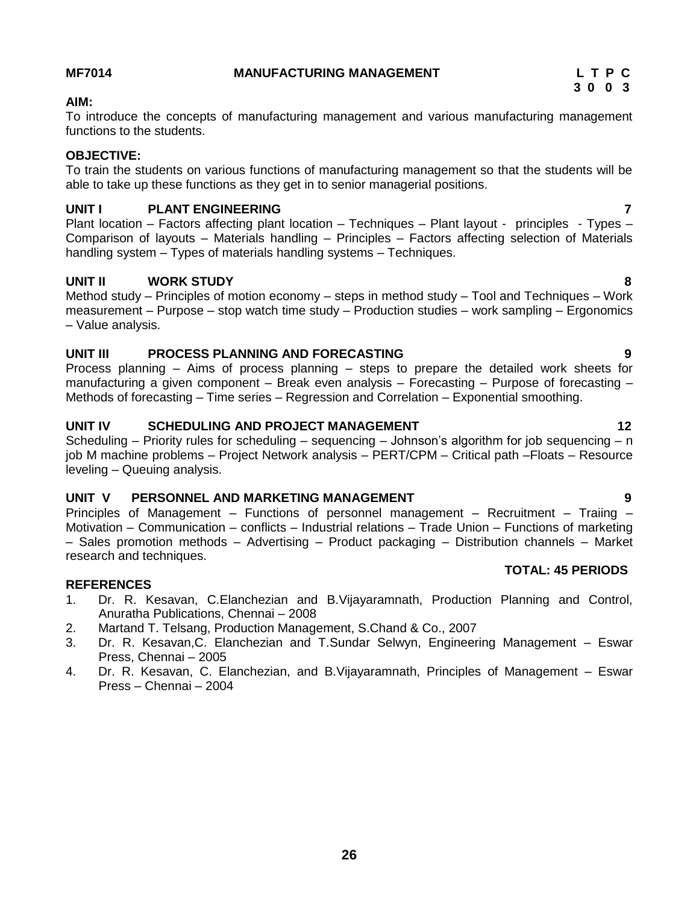### <span id="page-25-0"></span>**MF7014 MANUFACTURING MANAGEMENT L T P C**

# **AIM:**

To introduce the concepts of manufacturing management and various manufacturing management functions to the students.

### **OBJECTIVE:**

To train the students on various functions of manufacturing management so that the students will be able to take up these functions as they get in to senior managerial positions.

# **UNIT I PLANT ENGINEERING 7**

Plant location – Factors affecting plant location – Techniques – Plant layout - principles - Types – Comparison of layouts – Materials handling – Principles – Factors affecting selection of Materials handling system – Types of materials handling systems – Techniques.

### **UNIT II WORK STUDY 8**

Method study – Principles of motion economy – steps in method study – Tool and Techniques – Work measurement – Purpose – stop watch time study – Production studies – work sampling – Ergonomics – Value analysis.

### **UNIT III PROCESS PLANNING AND FORECASTING 9**

Process planning – Aims of process planning – steps to prepare the detailed work sheets for manufacturing a given component – Break even analysis – Forecasting – Purpose of forecasting – Methods of forecasting – Time series – Regression and Correlation – Exponential smoothing.

### **UNIT IV SCHEDULING AND PROJECT MANAGEMENT 12** 12

Scheduling – Priority rules for scheduling – sequencing – Johnson's algorithm for job sequencing – n job M machine problems – Project Network analysis – PERT/CPM – Critical path –Floats – Resource leveling – Queuing analysis.

# **UNIT V PERSONNEL AND MARKETING MANAGEMENT 9**

Principles of Management – Functions of personnel management – Recruitment – Traiing – Motivation – Communication – conflicts – Industrial relations – Trade Union – Functions of marketing – Sales promotion methods – Advertising – Product packaging – Distribution channels – Market research and techniques.

### **REFERENCES**

- 1. Dr. R. Kesavan, C.Elanchezian and B.Vijayaramnath, Production Planning and Control, Anuratha Publications, Chennai – 2008
- 2. Martand T. Telsang, Production Management, S.Chand & Co., 2007
- 3. Dr. R. Kesavan,C. Elanchezian and T.Sundar Selwyn, Engineering Management Eswar Press, Chennai – 2005
- 4. Dr. R. Kesavan, C. Elanchezian, and B.Vijayaramnath, Principles of Management Eswar Press – Chennai – 2004



- -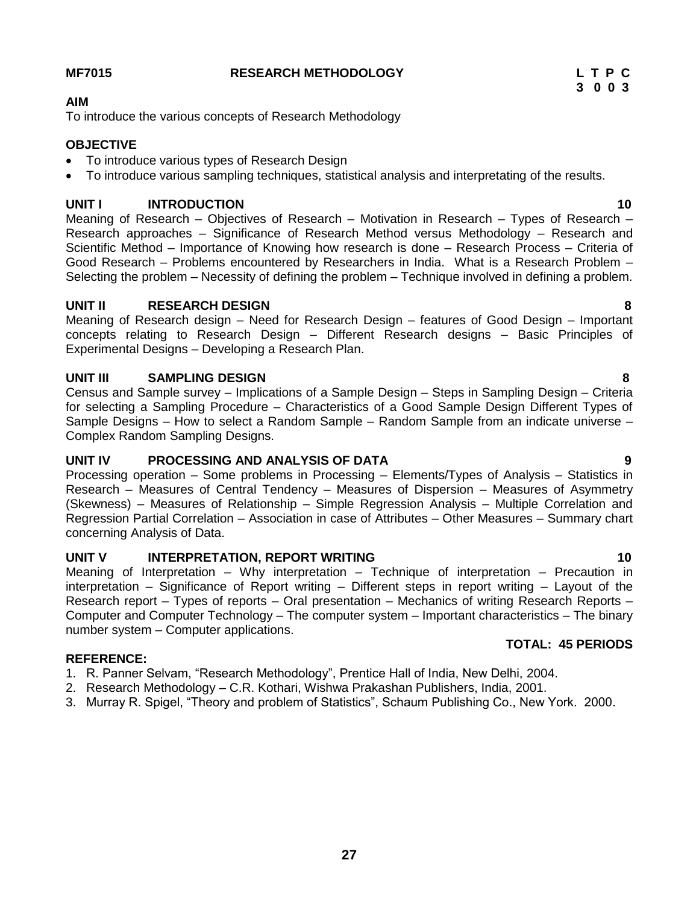### **MF7015 RESEARCH METHODOLOGY L T P C**

#### **AIM**

To introduce the various concepts of Research Methodology

# **OBJECTIVE**

- To introduce various types of Research Design
- To introduce various sampling techniques, statistical analysis and interpretating of the results.

# **UNIT I INTRODUCTION 10**

Meaning of Research – Objectives of Research – Motivation in Research – Types of Research – Research approaches – Significance of Research Method versus Methodology – Research and Scientific Method – Importance of Knowing how research is done – Research Process – Criteria of Good Research – Problems encountered by Researchers in India. What is a Research Problem – Selecting the problem – Necessity of defining the problem – Technique involved in defining a problem.

# **UNIT II RESEARCH DESIGN 8**

Meaning of Research design – Need for Research Design – features of Good Design – Important concepts relating to Research Design – Different Research designs – Basic Principles of Experimental Designs – Developing a Research Plan.

# **UNIT III SAMPLING DESIGN 8**

Census and Sample survey – Implications of a Sample Design – Steps in Sampling Design – Criteria for selecting a Sampling Procedure – Characteristics of a Good Sample Design Different Types of Sample Designs – How to select a Random Sample – Random Sample from an indicate universe – Complex Random Sampling Designs.

# **UNIT IV PROCESSING AND ANALYSIS OF DATA 9**

Processing operation – Some problems in Processing – Elements/Types of Analysis – Statistics in Research – Measures of Central Tendency – Measures of Dispersion – Measures of Asymmetry (Skewness) – Measures of Relationship – Simple Regression Analysis – Multiple Correlation and Regression Partial Correlation – Association in case of Attributes – Other Measures – Summary chart concerning Analysis of Data.

# **UNIT V INTERPRETATION, REPORT WRITING 10**

Meaning of Interpretation – Why interpretation – Technique of interpretation – Precaution in interpretation – Significance of Report writing – Different steps in report writing – Layout of the Research report – Types of reports – Oral presentation – Mechanics of writing Research Reports – Computer and Computer Technology – The computer system – Important characteristics – The binary number system – Computer applications. **TOTAL: 45 PERIODS**

# **REFERENCE:**

- 1. R. Panner Selvam, "Research Methodology", Prentice Hall of India, New Delhi, 2004.
- 2. Research Methodology C.R. Kothari, Wishwa Prakashan Publishers, India, 2001.
- 3. Murray R. Spigel, "Theory and problem of Statistics", Schaum Publishing Co., New York. 2000.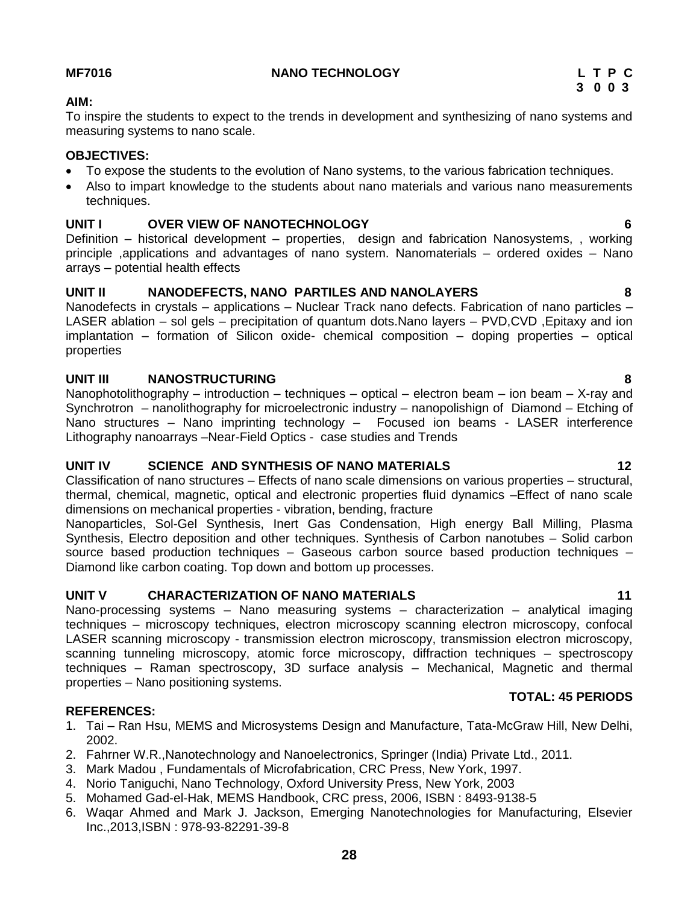### **MF7016 NANO TECHNOLOGY L T P C**

#### **AIM:**

To inspire the students to expect to the trends in development and synthesizing of nano systems and measuring systems to nano scale.

### **OBJECTIVES:**

- To expose the students to the evolution of Nano systems, to the various fabrication techniques.
- Also to impart knowledge to the students about nano materials and various nano measurements techniques.

# **UNIT I OVER VIEW OF NANOTECHNOLOGY 6**

Definition – historical development – properties, design and fabrication Nanosystems, , working principle ,applications and advantages of nano system. Nanomaterials – ordered oxides – Nano arrays – potential health effects

### **UNIT II NANODEFECTS, NANO PARTILES AND NANOLAYERS 8**

Nanodefects in crystals – applications – Nuclear Track nano defects. Fabrication of nano particles – LASER ablation – sol gels – precipitation of quantum dots.Nano layers – PVD,CVD ,Epitaxy and ion implantation – formation of Silicon oxide- chemical composition – doping properties – optical properties

### **UNIT III NANOSTRUCTURING 8**

Nanophotolithography – introduction – techniques – optical – electron beam – ion beam – X-ray and Synchrotron – nanolithography for microelectronic industry – nanopolishign of Diamond – Etching of Nano structures – Nano imprinting technology – Focused ion beams - LASER interference Lithography nanoarrays –Near-Field Optics - case studies and Trends

# **UNIT IV SCIENCE AND SYNTHESIS OF NANO MATERIALS 12**

Classification of nano structures – Effects of nano scale dimensions on various properties – structural, thermal, chemical, magnetic, optical and electronic properties fluid dynamics –Effect of nano scale dimensions on mechanical properties - vibration, bending, fracture

Nanoparticles, Sol-Gel Synthesis, Inert Gas Condensation, High energy Ball Milling, Plasma Synthesis, Electro deposition and other techniques. Synthesis of Carbon nanotubes – Solid carbon source based production techniques – Gaseous carbon source based production techniques – Diamond like carbon coating. Top down and bottom up processes.

# **UNIT V CHARACTERIZATION OF NANO MATERIALS 11**

Nano-processing systems – Nano measuring systems – characterization – analytical imaging techniques – microscopy techniques, electron microscopy scanning electron microscopy, confocal LASER scanning microscopy - transmission electron microscopy, transmission electron microscopy, scanning tunneling microscopy, atomic force microscopy, diffraction techniques – spectroscopy techniques – Raman spectroscopy, 3D surface analysis – Mechanical, Magnetic and thermal properties – Nano positioning systems.

### **REFERENCES:**

- 1. Tai Ran Hsu, MEMS and Microsystems Design and Manufacture, Tata-McGraw Hill, New Delhi, 2002.
- 2. Fahrner W.R.,Nanotechnology and Nanoelectronics, Springer (India) Private Ltd., 2011.
- 3. Mark Madou , Fundamentals of Microfabrication, CRC Press, New York, 1997.
- 4. Norio Taniguchi, Nano Technology, Oxford University Press, New York, 2003
- 5. Mohamed Gad-el-Hak, MEMS Handbook, CRC press, 2006, ISBN : 8493-9138-5
- 6. Waqar Ahmed and Mark J. Jackson, Emerging Nanotechnologies for Manufacturing, Elsevier Inc.,2013,ISBN : 978-93-82291-39-8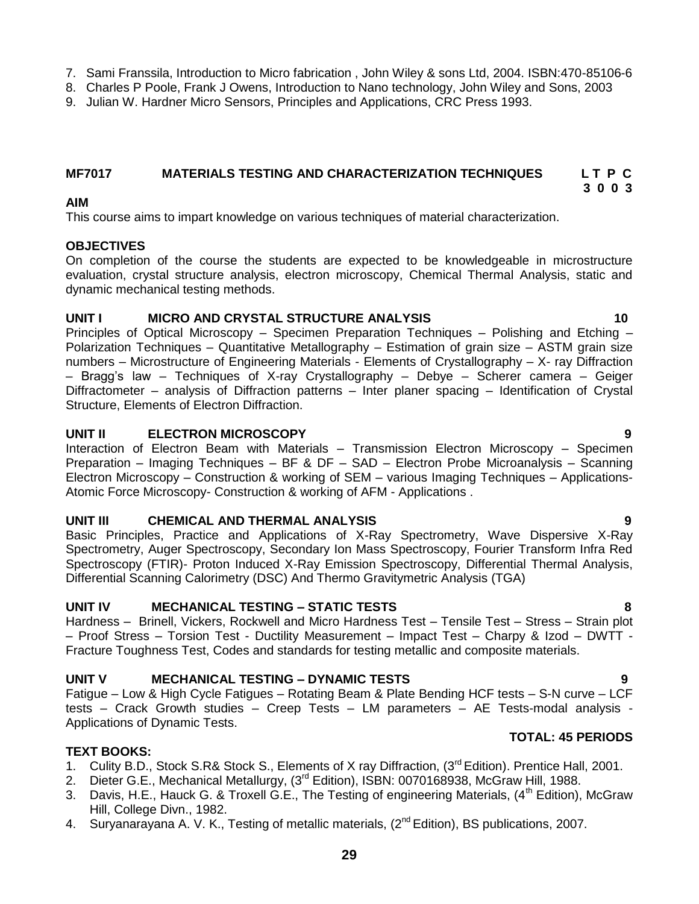- 7. Sami Franssila, Introduction to Micro fabrication , John Wiley & sons Ltd, 2004. ISBN:470-85106-6
- 8. Charles P Poole, Frank J Owens, Introduction to Nano technology, John Wiley and Sons, 2003
- 9. Julian W. Hardner Micro Sensors, Principles and Applications, CRC Press 1993.

#### **MF7017 MATERIALS TESTING AND CHARACTERIZATION TECHNIQUES L T P C 3 0 0 3**

### **AIM**

This course aims to impart knowledge on various techniques of material characterization.

### **OBJECTIVES**

On completion of the course the students are expected to be knowledgeable in microstructure evaluation, crystal structure analysis, electron microscopy, Chemical Thermal Analysis, static and dynamic mechanical testing methods.

### **UNIT I MICRO AND CRYSTAL STRUCTURE ANALYSIS 10**

Principles of Optical Microscopy – Specimen Preparation Techniques – Polishing and Etching – Polarization Techniques – Quantitative Metallography – Estimation of grain size – ASTM grain size numbers – Microstructure of Engineering Materials - Elements of Crystallography – X- ray Diffraction – Bragg's law – Techniques of X-ray Crystallography – Debye – Scherer camera – Geiger Diffractometer – analysis of Diffraction patterns – Inter planer spacing – Identification of Crystal Structure, Elements of Electron Diffraction.

### **UNIT II ELECTRON MICROSCOPY 9**

Interaction of Electron Beam with Materials – Transmission Electron Microscopy – Specimen Preparation – Imaging Techniques – BF & DF – SAD – Electron Probe Microanalysis – Scanning Electron Microscopy – Construction & working of SEM – various Imaging Techniques – Applications-Atomic Force Microscopy- Construction & working of AFM - Applications .

### **UNIT III CHEMICAL AND THERMAL ANALYSIS 9**

Basic Principles, Practice and Applications of X-Ray Spectrometry, Wave Dispersive X-Ray Spectrometry, Auger Spectroscopy, Secondary Ion Mass Spectroscopy, Fourier Transform Infra Red Spectroscopy (FTIR)- Proton Induced X-Ray Emission Spectroscopy, Differential Thermal Analysis, Differential Scanning Calorimetry (DSC) And Thermo Gravitymetric Analysis (TGA)

# **UNIT IV MECHANICAL TESTING – STATIC TESTS 8**

Hardness – Brinell, Vickers, Rockwell and Micro Hardness Test – Tensile Test – Stress – Strain plot – Proof Stress – Torsion Test - Ductility Measurement – Impact Test – Charpy & Izod – DWTT - Fracture Toughness Test, Codes and standards for testing metallic and composite materials.

# **UNIT V MECHANICAL TESTING – DYNAMIC TESTS 9**

Fatigue – Low & High Cycle Fatigues – Rotating Beam & Plate Bending HCF tests – S-N curve – LCF tests – Crack Growth studies – Creep Tests – LM parameters – AE Tests-modal analysis - Applications of Dynamic Tests.

### **TEXT BOOKS:**

- 1. Culity B.D., Stock S.R& Stock S., Elements of X ray Diffraction, (3rd Edition). Prentice Hall, 2001.
- 2. Dieter G.E., Mechanical Metallurgy, (3<sup>rd</sup> Edition), ISBN: 0070168938, McGraw Hill, 1988.
- 3. Davis, H.E., Hauck G. & Troxell G.E., The Testing of engineering Materials, (4<sup>th</sup> Edition), McGraw Hill, College Divn., 1982.
- 4. Suryanarayana A. V. K., Testing of metallic materials, (2<sup>nd</sup> Edition), BS publications, 2007.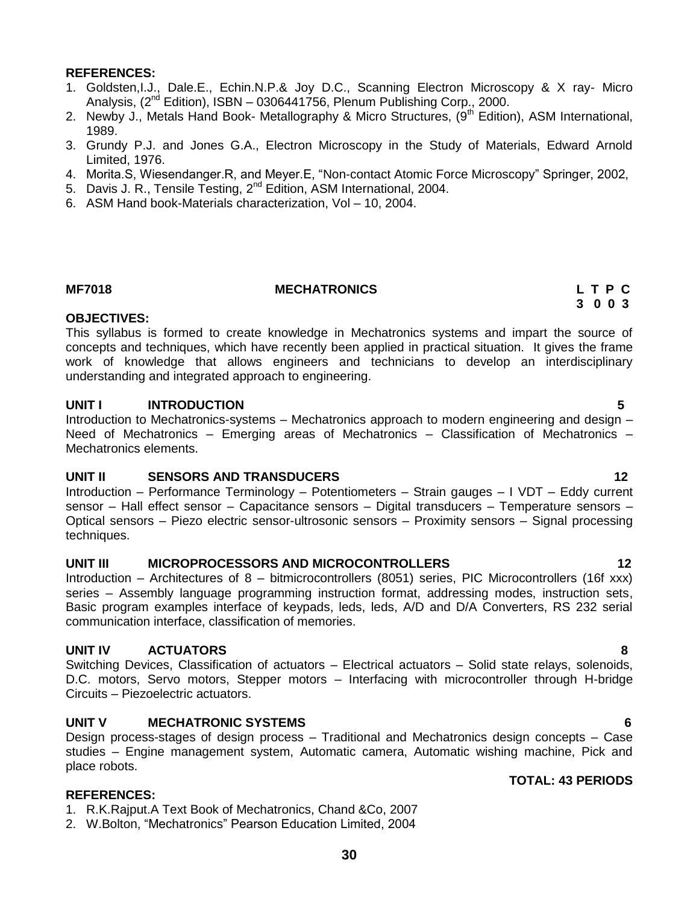- 1. Goldsten,I.J., Dale.E., Echin.N.P.& Joy D.C., Scanning Electron Microscopy & X ray- Micro Analysis,  $(2^{nd}$  Edition), ISBN - 0306441756, Plenum Publishing Corp., 2000.
- 2. Newby J., Metals Hand Book- Metallography & Micro Structures, (9<sup>th</sup> Edition), ASM International, 1989.
- 3. Grundy P.J. and Jones G.A., Electron Microscopy in the Study of Materials, Edward Arnold Limited, 1976.
- 4. Morita.S, Wiesendanger.R, and Meyer.E, "Non-contact Atomic Force Microscopy" Springer, 2002,
- 5. Davis J. R., Tensile Testing, 2<sup>nd</sup> Edition, ASM International, 2004.
- 6. ASM Hand book-Materials characterization, Vol 10, 2004.

#### **MF7018 MECHATRONICS L T P C**

#### **OBJECTIVES:**

This syllabus is formed to create knowledge in Mechatronics systems and impart the source of concepts and techniques, which have recently been applied in practical situation. It gives the frame work of knowledge that allows engineers and technicians to develop an interdisciplinary understanding and integrated approach to engineering.

#### **UNIT I INTRODUCTION 5**

Introduction to Mechatronics-systems – Mechatronics approach to modern engineering and design – Need of Mechatronics – Emerging areas of Mechatronics – Classification of Mechatronics – Mechatronics elements.

### **UNIT II SENSORS AND TRANSDUCERS 12**

Introduction – Performance Terminology – Potentiometers – Strain gauges – I VDT – Eddy current sensor – Hall effect sensor – Capacitance sensors – Digital transducers – Temperature sensors – Optical sensors – Piezo electric sensor-ultrosonic sensors – Proximity sensors – Signal processing techniques.

#### **UNIT III MICROPROCESSORS AND MICROCONTROLLERS 12**

Introduction – Architectures of 8 – bitmicrocontrollers (8051) series, PIC Microcontrollers (16f xxx) series – Assembly language programming instruction format, addressing modes, instruction sets, Basic program examples interface of keypads, leds, leds, A/D and D/A Converters, RS 232 serial communication interface, classification of memories.

### **UNIT IV ACTUATORS 8**

Switching Devices, Classification of actuators – Electrical actuators – Solid state relays, solenoids, D.C. motors, Servo motors, Stepper motors – Interfacing with microcontroller through H-bridge Circuits – Piezoelectric actuators.

### **UNIT V MECHATRONIC SYSTEMS 6**

Design process-stages of design process – Traditional and Mechatronics design concepts – Case studies – Engine management system, Automatic camera, Automatic wishing machine, Pick and place robots.

### **REFERENCES:**

1. R.K.Rajput.A Text Book of Mechatronics, Chand &Co, 2007

2. W.Bolton, "Mechatronics" Pearson Education Limited, 2004

# **TOTAL: 43 PERIODS**

 **3 0 0 3**